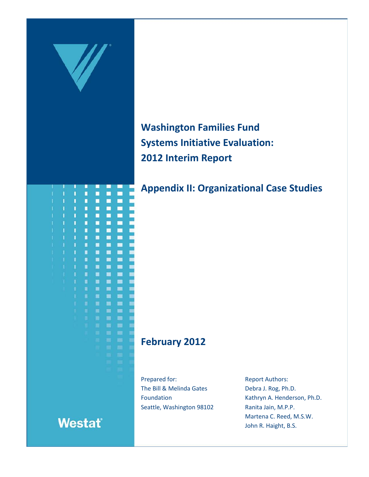

**Washington Families Fund Systems Initiative Evaluation: 2012 Interim Report**

**Appendix II: Organizational Case Studies**

# **February 2012**

Prepared for: The Bill & Melinda Gates Foundation Seattle, Washington 98102 Report Authors: Debra J. Rog, Ph.D. Kathryn A. Henderson, Ph.D. Ranita Jain, M.P.P. Martena C. Reed, M.S.W. John R. Haight, B.S.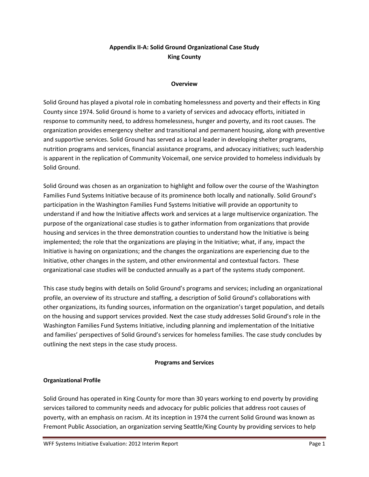# **Appendix II-A: Solid Ground Organizational Case Study King County**

#### **Overview**

Solid Ground has played a pivotal role in combating homelessness and poverty and their effects in King County since 1974. Solid Ground is home to a variety of services and advocacy efforts, initiated in response to community need, to address homelessness, hunger and poverty, and its root causes. The organization provides emergency shelter and transitional and permanent housing, along with preventive and supportive services. Solid Ground has served as a local leader in developing shelter programs, nutrition programs and services, financial assistance programs, and advocacy initiatives; such leadership is apparent in the replication of Community Voicemail, one service provided to homeless individuals by Solid Ground.

Solid Ground was chosen as an organization to highlight and follow over the course of the Washington Families Fund Systems Initiative because of its prominence both locally and nationally. Solid Ground's participation in the Washington Families Fund Systems Initiative will provide an opportunity to understand if and how the Initiative affects work and services at a large multiservice organization. The purpose of the organizational case studies is to gather information from organizations that provide housing and services in the three demonstration counties to understand how the Initiative is being implemented; the role that the organizations are playing in the Initiative; what, if any, impact the Initiative is having on organizations; and the changes the organizations are experiencing due to the Initiative, other changes in the system, and other environmental and contextual factors. These organizational case studies will be conducted annually as a part of the systems study component.

This case study begins with details on Solid Ground's programs and services; including an organizational profile, an overview of its structure and staffing, a description of Solid Ground's collaborations with other organizations, its funding sources, information on the organization's target population, and details on the housing and support services provided. Next the case study addresses Solid Ground's role in the Washington Families Fund Systems Initiative, including planning and implementation of the Initiative and families' perspectives of Solid Ground's services for homeless families. The case study concludes by outlining the next steps in the case study process.

### **Programs and Services**

### **Organizational Profile**

Solid Ground has operated in King County for more than 30 years working to end poverty by providing services tailored to community needs and advocacy for public policies that address root causes of poverty, with an emphasis on racism. At its inception in 1974 the current Solid Ground was known as Fremont Public Association, an organization serving Seattle/King County by providing services to help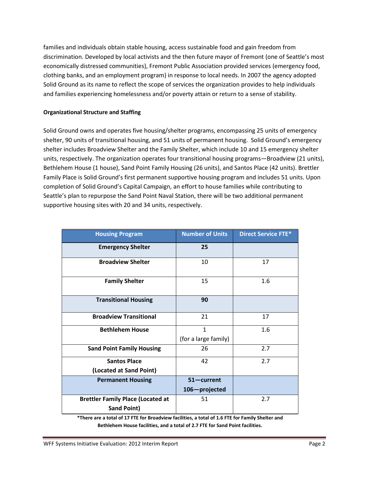families and individuals obtain stable housing, access sustainable food and gain freedom from discrimination. Developed by local activists and the then future mayor of Fremont (one of Seattle's most economically distressed communities), Fremont Public Association provided services (emergency food, clothing banks, and an employment program) in response to local needs. In 2007 the agency adopted Solid Ground as its name to reflect the scope of services the organization provides to help individuals and families experiencing homelessness and/or poverty attain or return to a sense of stability.

### **Organizational Structure and Staffing**

Solid Ground owns and operates five housing/shelter programs, encompassing 25 units of emergency shelter, 90 units of transitional housing, and 51 units of permanent housing. Solid Ground's emergency shelter includes Broadview Shelter and the Family Shelter, which include 10 and 15 emergency shelter units, respectively. The organization operates four transitional housing programs—Broadview (21 units), Bethlehem House (1 house), Sand Point Family Housing (26 units), and Santos Place (42 units). Brettler Family Place is Solid Ground's first permanent supportive housing program and includes 51 units. Upon completion of Solid Ground's Capital Campaign, an effort to house families while contributing to Seattle's plan to repurpose the Sand Point Naval Station, there will be two additional permanent supportive housing sites with 20 and 34 units, respectively.

| <b>Housing Program</b>                   | <b>Number of Units</b> | <b>Direct Service FTE*</b> |
|------------------------------------------|------------------------|----------------------------|
| <b>Emergency Shelter</b>                 | 25                     |                            |
| <b>Broadview Shelter</b>                 | 10                     | 17                         |
| <b>Family Shelter</b>                    | 15                     | 1.6                        |
| <b>Transitional Housing</b>              | 90                     |                            |
| <b>Broadview Transitional</b>            | 21                     | 17                         |
| <b>Bethlehem House</b>                   | 1                      | 1.6                        |
|                                          | (for a large family)   |                            |
| <b>Sand Point Family Housing</b>         | 26                     | 2.7                        |
| <b>Santos Place</b>                      | 42                     | 2.7                        |
| (Located at Sand Point)                  |                        |                            |
| <b>Permanent Housing</b>                 | $51$ - current         |                            |
|                                          | 106-projected          |                            |
| <b>Brettler Family Place (Located at</b> | 51                     | 2.7                        |
| <b>Sand Point)</b>                       |                        |                            |

**\*There are a total of 17 FTE for Broadview facilities, a total of 1.6 FTE for Family Shelter and Bethlehem House facilities, and a total of 2.7 FTE for Sand Point facilities.**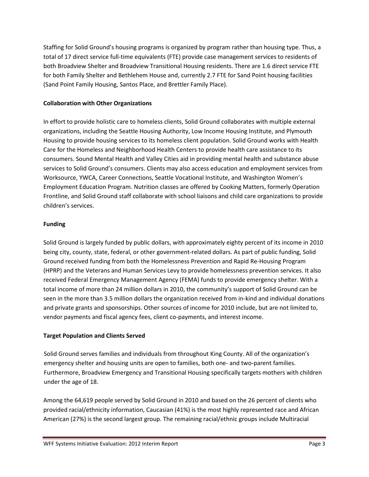Staffing for Solid Ground's housing programs is organized by program rather than housing type. Thus, a total of 17 direct service full-time equivalents (FTE) provide case management services to residents of both Broadview Shelter and Broadview Transitional Housing residents. There are 1.6 direct service FTE for both Family Shelter and Bethlehem House and, currently 2.7 FTE for Sand Point housing facilities (Sand Point Family Housing, Santos Place, and Brettler Family Place).

# **Collaboration with Other Organizations**

In effort to provide holistic care to homeless clients, Solid Ground collaborates with multiple external organizations, including the Seattle Housing Authority, Low Income Housing Institute, and Plymouth Housing to provide housing services to its homeless client population. Solid Ground works with Health Care for the Homeless and Neighborhood Health Centers to provide health care assistance to its consumers. Sound Mental Health and Valley Cities aid in providing mental health and substance abuse services to Solid Ground's consumers. Clients may also access education and employment services from Worksource, YWCA, Career Connections, Seattle Vocational Institute, and Washington Women's Employment Education Program. Nutrition classes are offered by Cooking Matters, formerly Operation Frontline, and Solid Ground staff collaborate with school liaisons and child care organizations to provide children's services.

# **Funding**

Solid Ground is largely funded by public dollars, with approximately eighty percent of its income in 2010 being city, county, state, federal, or other government-related dollars. As part of public funding, Solid Ground received funding from both the Homelessness Prevention and Rapid Re-Housing Program (HPRP) and the Veterans and Human Services Levy to provide homelessness prevention services. It also received Federal Emergency Management Agency (FEMA) funds to provide emergency shelter. With a total income of more than 24 million dollars in 2010, the community's support of Solid Ground can be seen in the more than 3.5 million dollars the organization received from in-kind and individual donations and private grants and sponsorships. Other sources of income for 2010 include, but are not limited to, vendor payments and fiscal agency fees, client co-payments, and interest income.

# **Target Population and Clients Served**

Solid Ground serves families and individuals from throughout King County. All of the organization's emergency shelter and housing units are open to families, both one- and two-parent families. Furthermore, Broadview Emergency and Transitional Housing specifically targets mothers with children under the age of 18.

Among the 64,619 people served by Solid Ground in 2010 and based on the 26 percent of clients who provided racial/ethnicity information, Caucasian (41%) is the most highly represented race and African American (27%) is the second largest group. The remaining racial/ethnic groups include Multiracial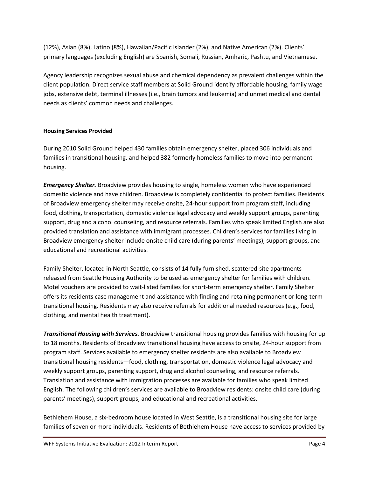(12%), Asian (8%), Latino (8%), Hawaiian/Pacific Islander (2%), and Native American (2%). Clients' primary languages (excluding English) are Spanish, Somali, Russian, Amharic, Pashtu, and Vietnamese.

Agency leadership recognizes sexual abuse and chemical dependency as prevalent challenges within the client population. Direct service staff members at Solid Ground identify affordable housing, family wage jobs, extensive debt, terminal illnesses (i.e., brain tumors and leukemia) and unmet medical and dental needs as clients' common needs and challenges.

# **Housing Services Provided**

During 2010 Solid Ground helped 430 families obtain emergency shelter, placed 306 individuals and families in transitional housing, and helped 382 formerly homeless families to move into permanent housing.

*Emergency Shelter.* Broadview provides housing to single, homeless women who have experienced domestic violence and have children. Broadview is completely confidential to protect families. Residents of Broadview emergency shelter may receive onsite, 24-hour support from program staff, including food, clothing, transportation, domestic violence legal advocacy and weekly support groups, parenting support, drug and alcohol counseling, and resource referrals. Families who speak limited English are also provided translation and assistance with immigrant processes. Children's services for families living in Broadview emergency shelter include onsite child care (during parents' meetings), support groups, and educational and recreational activities.

Family Shelter, located in North Seattle, consists of 14 fully furnished, scattered-site apartments released from Seattle Housing Authority to be used as emergency shelter for families with children. Motel vouchers are provided to wait-listed families for short-term emergency shelter. Family Shelter offers its residents case management and assistance with finding and retaining permanent or long-term transitional housing. Residents may also receive referrals for additional needed resources (e.g., food, clothing, and mental health treatment).

*Transitional Housing with Services.* Broadview transitional housing provides families with housing for up to 18 months. Residents of Broadview transitional housing have access to onsite, 24-hour support from program staff. Services available to emergency shelter residents are also available to Broadview transitional housing residents—food, clothing, transportation, domestic violence legal advocacy and weekly support groups, parenting support, drug and alcohol counseling, and resource referrals. Translation and assistance with immigration processes are available for families who speak limited English. The following children's services are available to Broadview residents: onsite child care (during parents' meetings), support groups, and educational and recreational activities.

Bethlehem House, a six-bedroom house located in West Seattle, is a transitional housing site for large families of seven or more individuals. Residents of Bethlehem House have access to services provided by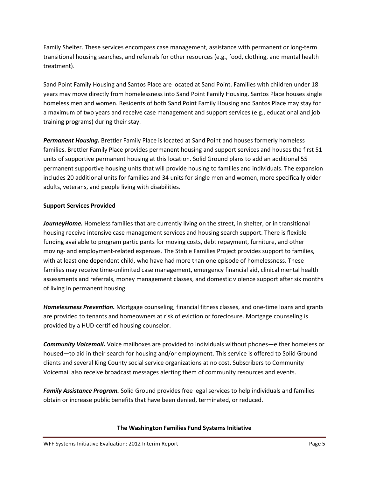Family Shelter. These services encompass case management, assistance with permanent or long-term transitional housing searches, and referrals for other resources (e.g., food, clothing, and mental health treatment).

Sand Point Family Housing and Santos Place are located at Sand Point. Families with children under 18 years may move directly from homelessness into Sand Point Family Housing. Santos Place houses single homeless men and women. Residents of both Sand Point Family Housing and Santos Place may stay for a maximum of two years and receive case management and support services (e.g., educational and job training programs) during their stay.

*Permanent Housing.* Brettler Family Place is located at Sand Point and houses formerly homeless families. Brettler Family Place provides permanent housing and support services and houses the first 51 units of supportive permanent housing at this location. Solid Ground plans to add an additional 55 permanent supportive housing units that will provide housing to families and individuals. The expansion includes 20 additional units for families and 34 units for single men and women, more specifically older adults, veterans, and people living with disabilities.

# **Support Services Provided**

JourneyHome. Homeless families that are currently living on the street, in shelter, or in transitional housing receive intensive case management services and housing search support. There is flexible funding available to program participants for moving costs, debt repayment, furniture, and other moving- and employment-related expenses. The Stable Families Project provides support to families, with at least one dependent child, who have had more than one episode of homelessness. These families may receive time-unlimited case management, emergency financial aid, clinical mental health assessments and referrals, money management classes, and domestic violence support after six months of living in permanent housing.

*Homelessness Prevention.* Mortgage counseling, financial fitness classes, and one-time loans and grants are provided to tenants and homeowners at risk of eviction or foreclosure. Mortgage counseling is provided by a HUD-certified housing counselor.

*Community Voicemail.* Voice mailboxes are provided to individuals without phones—either homeless or housed—to aid in their search for housing and/or employment. This service is offered to Solid Ground clients and several King County social service organizations at no cost. Subscribers to Community Voicemail also receive broadcast messages alerting them of community resources and events.

*Family Assistance Program.* Solid Ground provides free legal services to help individuals and families obtain or increase public benefits that have been denied, terminated, or reduced.

### **The Washington Families Fund Systems Initiative**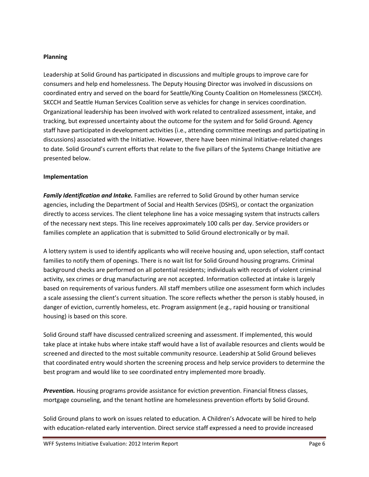### **Planning**

Leadership at Solid Ground has participated in discussions and multiple groups to improve care for consumers and help end homelessness. The Deputy Housing Director was involved in discussions on coordinated entry and served on the board for Seattle/King County Coalition on Homelessness (SKCCH). SKCCH and Seattle Human Services Coalition serve as vehicles for change in services coordination. Organizational leadership has been involved with work related to centralized assessment, intake, and tracking, but expressed uncertainty about the outcome for the system and for Solid Ground. Agency staff have participated in development activities (i.e., attending committee meetings and participating in discussions) associated with the Initiative. However, there have been minimal Initiative-related changes to date. Solid Ground's current efforts that relate to the five pillars of the Systems Change Initiative are presented below.

### **Implementation**

*Family Identification and Intake.* Families are referred to Solid Ground by other human service agencies, including the Department of Social and Health Services (DSHS), or contact the organization directly to access services. The client telephone line has a voice messaging system that instructs callers of the necessary next steps. This line receives approximately 100 calls per day. Service providers or families complete an application that is submitted to Solid Ground electronically or by mail.

A lottery system is used to identify applicants who will receive housing and, upon selection, staff contact families to notify them of openings. There is no wait list for Solid Ground housing programs. Criminal background checks are performed on all potential residents; individuals with records of violent criminal activity, sex crimes or drug manufacturing are not accepted. Information collected at intake is largely based on requirements of various funders. All staff members utilize one assessment form which includes a scale assessing the client's current situation. The score reflects whether the person is stably housed, in danger of eviction, currently homeless, etc. Program assignment (e.g., rapid housing or transitional housing) is based on this score.

Solid Ground staff have discussed centralized screening and assessment. If implemented, this would take place at intake hubs where intake staff would have a list of available resources and clients would be screened and directed to the most suitable community resource. Leadership at Solid Ground believes that coordinated entry would shorten the screening process and help service providers to determine the best program and would like to see coordinated entry implemented more broadly.

*Prevention.* Housing programs provide assistance for eviction prevention. Financial fitness classes, mortgage counseling, and the tenant hotline are homelessness prevention efforts by Solid Ground.

Solid Ground plans to work on issues related to education. A Children's Advocate will be hired to help with education-related early intervention. Direct service staff expressed a need to provide increased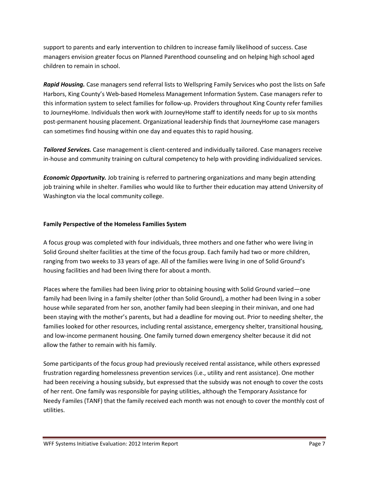support to parents and early intervention to children to increase family likelihood of success. Case managers envision greater focus on Planned Parenthood counseling and on helping high school aged children to remain in school.

*Rapid Housing.* Case managers send referral lists to Wellspring Family Services who post the lists on Safe Harbors, King County's Web-based Homeless Management Information System. Case managers refer to this information system to select families for follow-up. Providers throughout King County refer families to JourneyHome. Individuals then work with JourneyHome staff to identify needs for up to six months post-permanent housing placement. Organizational leadership finds that JourneyHome case managers can sometimes find housing within one day and equates this to rapid housing.

*Tailored Services.* Case management is client-centered and individually tailored. Case managers receive in-house and community training on cultural competency to help with providing individualized services.

*Economic Opportunity.* Job training is referred to partnering organizations and many begin attending job training while in shelter. Families who would like to further their education may attend University of Washington via the local community college.

# **Family Perspective of the Homeless Families System**

A focus group was completed with four individuals, three mothers and one father who were living in Solid Ground shelter facilities at the time of the focus group. Each family had two or more children, ranging from two weeks to 33 years of age. All of the families were living in one of Solid Ground's housing facilities and had been living there for about a month.

Places where the families had been living prior to obtaining housing with Solid Ground varied—one family had been living in a family shelter (other than Solid Ground), a mother had been living in a sober house while separated from her son, another family had been sleeping in their minivan, and one had been staying with the mother's parents, but had a deadline for moving out. Prior to needing shelter, the families looked for other resources, including rental assistance, emergency shelter, transitional housing, and low-income permanent housing. One family turned down emergency shelter because it did not allow the father to remain with his family.

Some participants of the focus group had previously received rental assistance, while others expressed frustration regarding homelessness prevention services (i.e., utility and rent assistance). One mother had been receiving a housing subsidy, but expressed that the subsidy was not enough to cover the costs of her rent. One family was responsible for paying utilities, although the Temporary Assistance for Needy Familes (TANF) that the family received each month was not enough to cover the monthly cost of utilities.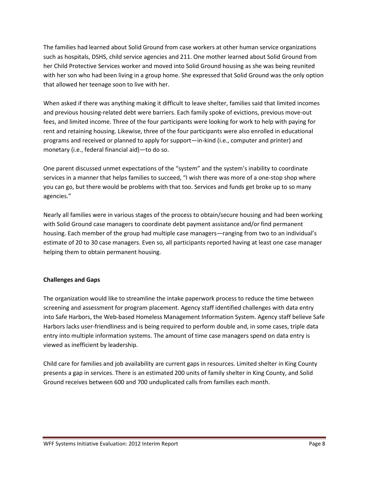The families had learned about Solid Ground from case workers at other human service organizations such as hospitals, DSHS, child service agencies and 211. One mother learned about Solid Ground from her Child Protective Services worker and moved into Solid Ground housing as she was being reunited with her son who had been living in a group home. She expressed that Solid Ground was the only option that allowed her teenage soon to live with her.

When asked if there was anything making it difficult to leave shelter, families said that limited incomes and previous housing-related debt were barriers. Each family spoke of evictions, previous move-out fees, and limited income. Three of the four participants were looking for work to help with paying for rent and retaining housing. Likewise, three of the four participants were also enrolled in educational programs and received or planned to apply for support—in-kind (i.e., computer and printer) and monetary (i.e., federal financial aid)—to do so.

One parent discussed unmet expectations of the "system" and the system's inability to coordinate services in a manner that helps families to succeed, "I wish there was more of a one-stop shop where you can go, but there would be problems with that too. Services and funds get broke up to so many agencies."

Nearly all families were in various stages of the process to obtain/secure housing and had been working with Solid Ground case managers to coordinate debt payment assistance and/or find permanent housing. Each member of the group had multiple case managers—ranging from two to an individual's estimate of 20 to 30 case managers. Even so, all participants reported having at least one case manager helping them to obtain permanent housing.

# **Challenges and Gaps**

The organization would like to streamline the intake paperwork process to reduce the time between screening and assessment for program placement. Agency staff identified challenges with data entry into Safe Harbors, the Web-based Homeless Management Information System. Agency staff believe Safe Harbors lacks user-friendliness and is being required to perform double and, in some cases, triple data entry into multiple information systems. The amount of time case managers spend on data entry is viewed as inefficient by leadership.

Child care for families and job availability are current gaps in resources. Limited shelter in King County presents a gap in services. There is an estimated 200 units of family shelter in King County, and Solid Ground receives between 600 and 700 unduplicated calls from families each month.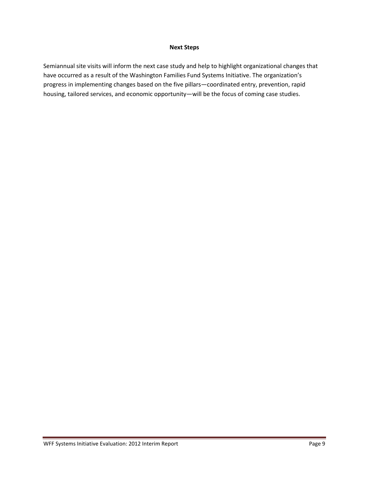#### **Next Steps**

Semiannual site visits will inform the next case study and help to highlight organizational changes that have occurred as a result of the Washington Families Fund Systems Initiative. The organization's progress in implementing changes based on the five pillars—coordinated entry, prevention, rapid housing, tailored services, and economic opportunity—will be the focus of coming case studies.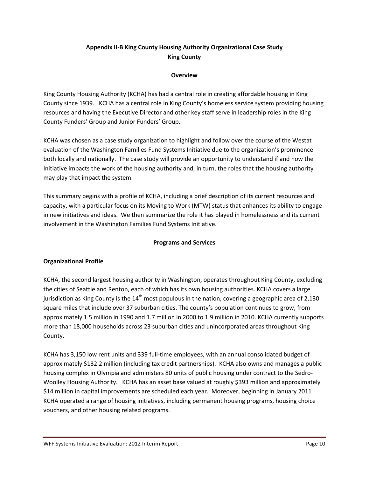# **Appendix II-B King County Housing Authority Organizational Case Study King County**

### **Overview**

King County Housing Authority (KCHA) has had a central role in creating affordable housing in King County since 1939. KCHA has a central role in King County's homeless service system providing housing resources and having the Executive Director and other key staff serve in leadership roles in the King County Funders' Group and Junior Funders' Group.

KCHA was chosen as a case study organization to highlight and follow over the course of the Westat evaluation of the Washington Families Fund Systems Initiative due to the organization's prominence both locally and nationally. The case study will provide an opportunity to understand if and how the Initiative impacts the work of the housing authority and, in turn, the roles that the housing authority may play that impact the system.

This summary begins with a profile of KCHA, including a brief description of its current resources and capacity, with a particular focus on its Moving to Work (MTW) status that enhances its ability to engage in new initiatives and ideas. We then summarize the role it has played in homelessness and its current involvement in the Washington Families Fund Systems Initiative.

# **Programs and Services**

# **Organizational Profile**

KCHA, the second largest housing authority in Washington, operates throughout King County, excluding the cities of Seattle and Renton, each of which has its own housing authorities. KCHA covers a large jurisdiction as King County is the  $14<sup>th</sup>$  most populous in the nation, covering a geographic area of 2,130 square miles that include over 37 suburban cities. The county's population continues to grow, from approximately 1.5 million in 1990 and 1.7 million in 2000 to 1.9 million in 2010. KCHA currently supports more than 18,000 households across 23 suburban cities and unincorporated areas throughout King County.

KCHA has 3,150 low rent units and 339 full-time employees, with an annual consolidated budget of approximately \$132.2 million (including tax credit partnerships). KCHA also owns and manages a public housing complex in Olympia and administers 80 units of public housing under contract to the Sedro-Woolley Housing Authority. KCHA has an asset base valued at roughly \$393 million and approximately \$14 million in capital improvements are scheduled each year. Moreover, beginning in January 2011 KCHA operated a range of housing initiatives, including permanent housing programs, housing choice vouchers, and other housing related programs.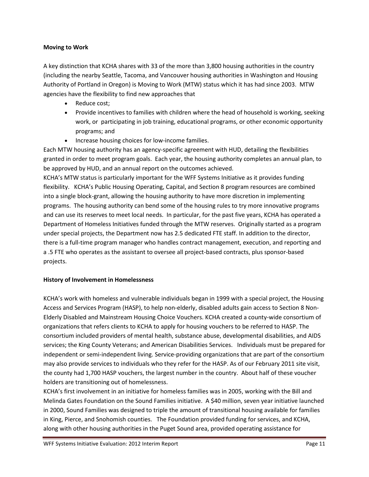### **Moving to Work**

A key distinction that KCHA shares with 33 of the more than 3,800 housing authorities in the country (including the nearby Seattle, Tacoma, and Vancouver housing authorities in Washington and Housing Authority of Portland in Oregon) is Moving to Work (MTW) status which it has had since 2003. MTW agencies have the flexibility to find new approaches that

- Reduce cost;
- Provide incentives to families with children where the head of household is working, seeking work, or participating in job training, educational programs, or other economic opportunity programs; and
- Increase housing choices for low-income families.

Each MTW housing authority has an agency-specific agreement with HUD, detailing the flexibilities granted in order to meet program goals. Each year, the housing authority completes an annual plan, to be approved by HUD, and an annual report on the outcomes achieved.

KCHA's MTW status is particularly important for the WFF Systems Initiative as it provides funding flexibility. KCHA's Public Housing Operating, Capital, and Section 8 program resources are combined into a single block-grant, allowing the housing authority to have more discretion in implementing programs. The housing authority can bend some of the housing rules to try more innovative programs and can use its reserves to meet local needs. In particular, for the past five years, KCHA has operated a Department of Homeless Initiatives funded through the MTW reserves. Originally started as a program under special projects, the Department now has 2.5 dedicated FTE staff. In addition to the director, there is a full-time program manager who handles contract management, execution, and reporting and a .5 FTE who operates as the assistant to oversee all project-based contracts, plus sponsor-based projects.

# **History of Involvement in Homelessness**

KCHA's work with homeless and vulnerable individuals began in 1999 with a special project, the Housing Access and Services Program (HASP), to help non-elderly, disabled adults gain access to Section 8 Non-Elderly Disabled and Mainstream Housing Choice Vouchers. KCHA created a county-wide consortium of organizations that refers clients to KCHA to apply for housing vouchers to be referred to HASP. The consortium included providers of mental health, substance abuse, developmental disabilities, and AIDS services; the King County Veterans; and American Disabilities Services. Individuals must be prepared for independent or semi-independent living. Service-providing organizations that are part of the consortium may also provide services to individuals who they refer for the HASP. As of our February 2011 site visit, the county had 1,700 HASP vouchers, the largest number in the country. About half of these voucher holders are transitioning out of homelessness.

KCHA's first involvement in an initiative for homeless families was in 2005, working with the Bill and Melinda Gates Foundation on the Sound Families initiative. A \$40 million, seven year initiative launched in 2000, Sound Families was designed to triple the amount of transitional housing available for families in King, Pierce, and Snohomish counties. The Foundation provided funding for services, and KCHA, along with other housing authorities in the Puget Sound area, provided operating assistance for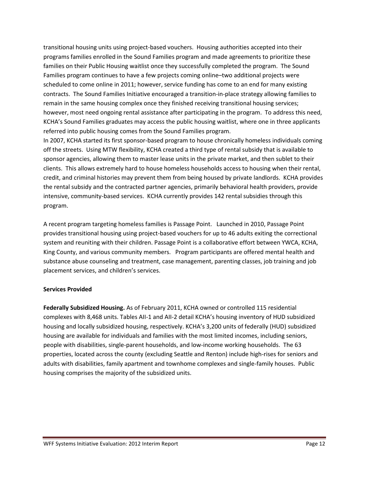transitional housing units using project-based vouchers. Housing authorities accepted into their programs families enrolled in the Sound Families program and made agreements to prioritize these families on their Public Housing waitlist once they successfully completed the program. The Sound Families program continues to have a few projects coming online–two additional projects were scheduled to come online in 2011; however, service funding has come to an end for many existing contracts. The Sound Families Initiative encouraged a transition-in-place strategy allowing families to remain in the same housing complex once they finished receiving transitional housing services; however, most need ongoing rental assistance after participating in the program. To address this need, KCHA's Sound Families graduates may access the public housing waitlist, where one in three applicants referred into public housing comes from the Sound Families program.

In 2007, KCHA started its first sponsor-based program to house chronically homeless individuals coming off the streets. Using MTW flexibility, KCHA created a third type of rental subsidy that is available to sponsor agencies, allowing them to master lease units in the private market, and then sublet to their clients. This allows extremely hard to house homeless households access to housing when their rental, credit, and criminal histories may prevent them from being housed by private landlords. KCHA provides the rental subsidy and the contracted partner agencies, primarily behavioral health providers, provide intensive, community-based services. KCHA currently provides 142 rental subsidies through this program.

A recent program targeting homeless families is Passage Point. Launched in 2010, Passage Point provides transitional housing using project-based vouchers for up to 46 adults exiting the correctional system and reuniting with their children. Passage Point is a collaborative effort between YWCA, KCHA, King County, and various community members. Program participants are offered mental health and substance abuse counseling and treatment, case management, parenting classes, job training and job placement services, and children's services.

### **Services Provided**

**Federally Subsidized Housing.** As of February 2011, KCHA owned or controlled 115 residential complexes with 8,468 units. Tables AII-1 and AII-2 detail KCHA's housing inventory of HUD subsidized housing and locally subsidized housing, respectively. KCHA's 3,200 units of federally (HUD) subsidized housing are available for individuals and families with the most limited incomes, including seniors, people with disabilities, single-parent households, and low-income working households. The 63 properties, located across the county (excluding Seattle and Renton) include high-rises for seniors and adults with disabilities, family apartment and townhome complexes and single-family houses. Public housing comprises the majority of the subsidized units.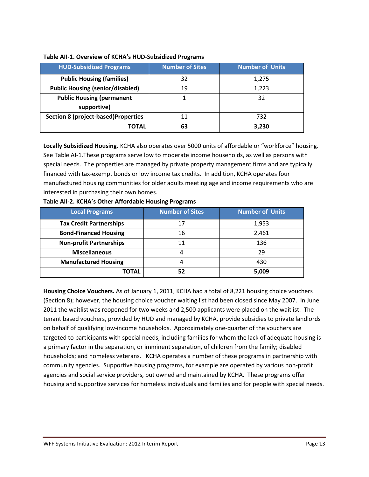| <b>HUD-Subsidized Programs</b>             | <b>Number of Sites</b> | <b>Number of Units</b> |
|--------------------------------------------|------------------------|------------------------|
| <b>Public Housing (families)</b>           | 32                     | 1,275                  |
| <b>Public Housing (senior/disabled)</b>    | 19                     | 1,223                  |
| <b>Public Housing (permanent</b>           |                        | 32                     |
| supportive)                                |                        |                        |
| <b>Section 8 (project-based)Properties</b> | 11                     | 732                    |
| ΤΟΤΑL                                      | 63                     | 3,230                  |

### **Table AII-1. Overview of KCHA's HUD-Subsidized Programs**

**Locally Subsidized Housing.** KCHA also operates over 5000 units of affordable or "workforce" housing. See Table AI-1.These programs serve low to moderate income households, as well as persons with special needs. The properties are managed by private property management firms and are typically financed with tax-exempt bonds or low income tax credits. In addition, KCHA operates four manufactured housing communities for older adults meeting age and income requirements who are interested in purchasing their own homes.

| Local Programs                 | <b>Number of Sites</b> | <b>Number of Units</b> |
|--------------------------------|------------------------|------------------------|
| <b>Tax Credit Partnerships</b> | 17                     | 1,953                  |
| <b>Bond-Financed Housing</b>   | 16                     | 2,461                  |
| <b>Non-profit Partnerships</b> |                        | 136                    |
| <b>Miscellaneous</b>           | 4                      | 29                     |
| <b>Manufactured Housing</b>    | 4                      | 430                    |
| TOTAL                          | 52                     | 5,009                  |

#### **Table AII-2. KCHA's Other Affordable Housing Programs**

**Housing Choice Vouchers.** As of January 1, 2011, KCHA had a total of 8,221 housing choice vouchers (Section 8); however, the housing choice voucher waiting list had been closed since May 2007. In June 2011 the waitlist was reopened for two weeks and 2,500 applicants were placed on the waitlist. The tenant based vouchers, provided by HUD and managed by KCHA, provide subsidies to private landlords on behalf of qualifying low-income households. Approximately one-quarter of the vouchers are targeted to participants with special needs, including families for whom the lack of adequate housing is a primary factor in the separation, or imminent separation, of children from the family; disabled households; and homeless veterans. KCHA operates a number of these programs in partnership with community agencies. Supportive housing programs, for example are operated by various non-profit agencies and social service providers, but owned and maintained by KCHA. These programs offer housing and supportive services for homeless individuals and families and for people with special needs.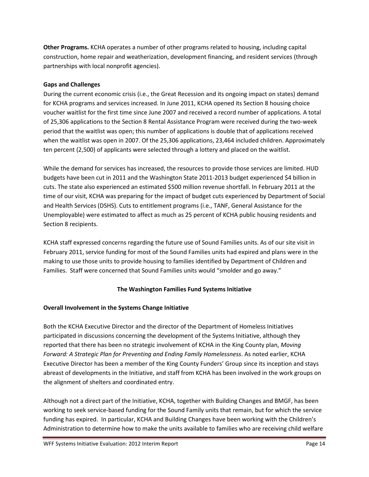**Other Programs.** KCHA operates a number of other programs related to housing, including capital construction, home repair and weatherization, development financing, and resident services (through partnerships with local nonprofit agencies).

# **Gaps and Challenges**

During the current economic crisis (i.e., the Great Recession and its ongoing impact on states) demand for KCHA programs and services increased. In June 2011, KCHA opened its Section 8 housing choice voucher waitlist for the first time since June 2007 and received a record number of applications. A total of 25,306 applications to the Section 8 Rental Assistance Program were received during the two-week period that the waitlist was open; this number of applications is double that of applications received when the waitlist was open in 2007. Of the 25,306 applications, 23,464 included children. Approximately ten percent (2,500) of applicants were selected through a lottery and placed on the waitlist.

While the demand for services has increased, the resources to provide those services are limited. HUD budgets have been cut in 2011 and the Washington State 2011-2013 budget experienced \$4 billion in cuts. The state also experienced an estimated \$500 million revenue shortfall. In February 2011 at the time of our visit, KCHA was preparing for the impact of budget cuts experienced by Department of Social and Health Services (DSHS). Cuts to entitlement programs (i.e., TANF, General Assistance for the Unemployable) were estimated to affect as much as 25 percent of KCHA public housing residents and Section 8 recipients.

KCHA staff expressed concerns regarding the future use of Sound Families units. As of our site visit in February 2011, service funding for most of the Sound Families units had expired and plans were in the making to use those units to provide housing to families identified by Department of Children and Families. Staff were concerned that Sound Families units would "smolder and go away."

# **The Washington Families Fund Systems Initiative**

# **Overall Involvement in the Systems Change Initiative**

Both the KCHA Executive Director and the director of the Department of Homeless Initiatives participated in discussions concerning the development of the Systems Initiative, although they reported that there has been no strategic involvement of KCHA in the King County plan, *Moving Forward: A Strategic Plan for Preventing and Ending Family Homelessness*. As noted earlier, KCHA Executive Director has been a member of the King County Funders' Group since its inception and stays abreast of developments in the Initiative, and staff from KCHA has been involved in the work groups on the alignment of shelters and coordinated entry.

Although not a direct part of the Initiative, KCHA, together with Building Changes and BMGF, has been working to seek service-based funding for the Sound Family units that remain, but for which the service funding has expired. In particular, KCHA and Building Changes have been working with the Children's Administration to determine how to make the units available to families who are receiving child welfare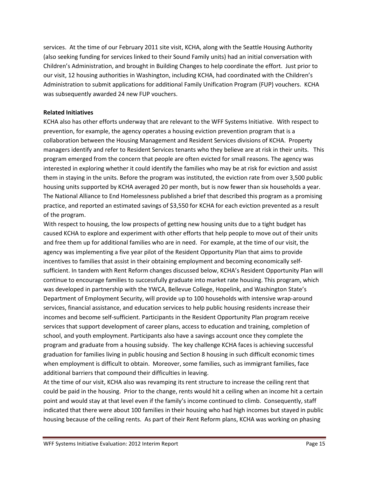services. At the time of our February 2011 site visit, KCHA, along with the Seattle Housing Authority (also seeking funding for services linked to their Sound Family units) had an initial conversation with Children's Administration, and brought in Building Changes to help coordinate the effort. Just prior to our visit, 12 housing authorities in Washington, including KCHA, had coordinated with the Children's Administration to submit applications for additional Family Unification Program (FUP) vouchers. KCHA was subsequently awarded 24 new FUP vouchers.

### **Related Initiatives**

KCHA also has other efforts underway that are relevant to the WFF Systems Initiative. With respect to prevention, for example, the agency operates a housing eviction prevention program that is a collaboration between the Housing Management and Resident Services divisions of KCHA. Property managers identify and refer to Resident Services tenants who they believe are at risk in their units. This program emerged from the concern that people are often evicted for small reasons. The agency was interested in exploring whether it could identify the families who may be at risk for eviction and assist them in staying in the units. Before the program was instituted, the eviction rate from over 3,500 public housing units supported by KCHA averaged 20 per month, but is now fewer than six households a year. The National Alliance to End Homelessness published a brief that described this program as a promising practice, and reported an estimated savings of \$3,550 for KCHA for each eviction prevented as a result of the program.

With respect to housing, the low prospects of getting new housing units due to a tight budget has caused KCHA to explore and experiment with other efforts that help people to move out of their units and free them up for additional families who are in need. For example, at the time of our visit, the agency was implementing a five year pilot of the Resident Opportunity Plan that aims to provide incentives to families that assist in their obtaining employment and becoming economically selfsufficient. In tandem with Rent Reform changes discussed below, KCHA's Resident Opportunity Plan will continue to encourage families to successfully graduate into market rate housing. This program, which was developed in partnership with the YWCA, Bellevue College, Hopelink, and Washington State's Department of Employment Security, will provide up to 100 households with intensive wrap-around services, financial assistance, and education services to help public housing residents increase their incomes and become self-sufficient. Participants in the Resident Opportunity Plan program receive services that support development of career plans, access to education and training, completion of school, and youth employment. Participants also have a savings account once they complete the program and graduate from a housing subsidy. The key challenge KCHA faces is achieving successful graduation for families living in public housing and Section 8 housing in such difficult economic times when employment is difficult to obtain. Moreover, some families, such as immigrant families, face additional barriers that compound their difficulties in leaving.

At the time of our visit, KCHA also was revamping its rent structure to increase the ceiling rent that could be paid in the housing. Prior to the change, rents would hit a ceiling when an income hit a certain point and would stay at that level even if the family's income continued to climb. Consequently, staff indicated that there were about 100 families in their housing who had high incomes but stayed in public housing because of the ceiling rents. As part of their Rent Reform plans, KCHA was working on phasing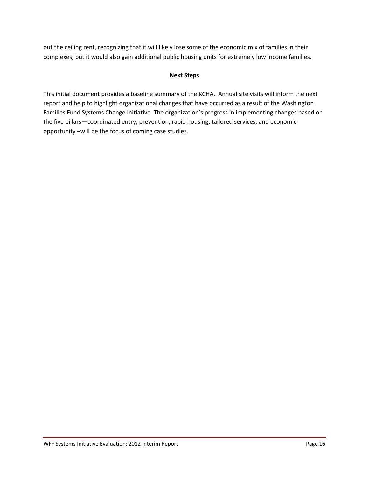out the ceiling rent, recognizing that it will likely lose some of the economic mix of families in their complexes, but it would also gain additional public housing units for extremely low income families.

### **Next Steps**

This initial document provides a baseline summary of the KCHA. Annual site visits will inform the next report and help to highlight organizational changes that have occurred as a result of the Washington Families Fund Systems Change Initiative. The organization's progress in implementing changes based on the five pillars—coordinated entry, prevention, rapid housing, tailored services, and economic opportunity –will be the focus of coming case studies.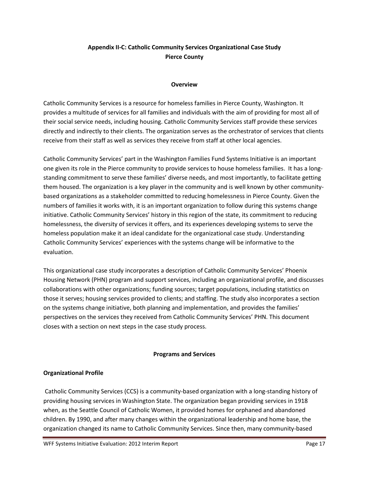# **Appendix II-C: Catholic Community Services Organizational Case Study Pierce County**

### **Overview**

Catholic Community Services is a resource for homeless families in Pierce County, Washington. It provides a multitude of services for all families and individuals with the aim of providing for most all of their social service needs, including housing. Catholic Community Services staff provide these services directly and indirectly to their clients. The organization serves as the orchestrator of services that clients receive from their staff as well as services they receive from staff at other local agencies.

Catholic Community Services' part in the Washington Families Fund Systems Initiative is an important one given its role in the Pierce community to provide services to house homeless families. It has a longstanding commitment to serve these families' diverse needs, and most importantly, to facilitate getting them housed. The organization is a key player in the community and is well known by other communitybased organizations as a stakeholder committed to reducing homelessness in Pierce County. Given the numbers of families it works with, it is an important organization to follow during this systems change initiative. Catholic Community Services' history in this region of the state, its commitment to reducing homelessness, the diversity of services it offers, and its experiences developing systems to serve the homeless population make it an ideal candidate for the organizational case study. Understanding Catholic Community Services' experiences with the systems change will be informative to the evaluation.

This organizational case study incorporates a description of Catholic Community Services' Phoenix Housing Network (PHN) program and support services, including an organizational profile, and discusses collaborations with other organizations; funding sources; target populations, including statistics on those it serves; housing services provided to clients; and staffing. The study also incorporates a section on the systems change initiative, both planning and implementation, and provides the families' perspectives on the services they received from Catholic Community Services' PHN. This document closes with a section on next steps in the case study process.

### **Programs and Services**

### **Organizational Profile**

Catholic Community Services (CCS) is a community-based organization with a long-standing history of providing housing services in Washington State. The organization began providing services in 1918 when, as the Seattle Council of Catholic Women, it provided homes for orphaned and abandoned children. By 1990, and after many changes within the organizational leadership and home base, the organization changed its name to Catholic Community Services. Since then, many community-based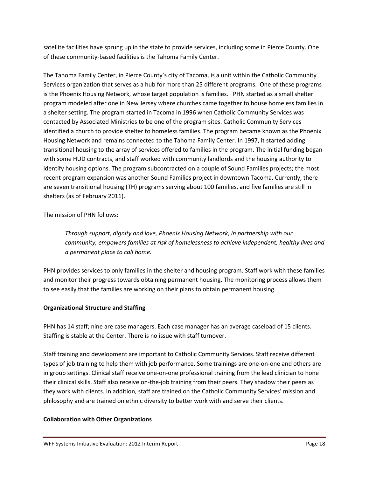satellite facilities have sprung up in the state to provide services, including some in Pierce County. One of these community-based facilities is the Tahoma Family Center.

The Tahoma Family Center, in Pierce County's city of Tacoma, is a unit within the Catholic Community Services organization that serves as a hub for more than 25 different programs. One of these programs is the Phoenix Housing Network, whose target population is families. PHN started as a small shelter program modeled after one in New Jersey where churches came together to house homeless families in a shelter setting. The program started in Tacoma in 1996 when Catholic Community Services was contacted by Associated Ministries to be one of the program sites. Catholic Community Services identified a church to provide shelter to homeless families. The program became known as the Phoenix Housing Network and remains connected to the Tahoma Family Center. In 1997, it started adding transitional housing to the array of services offered to families in the program. The initial funding began with some HUD contracts, and staff worked with community landlords and the housing authority to identify housing options. The program subcontracted on a couple of Sound Families projects; the most recent program expansion was another Sound Families project in downtown Tacoma. Currently, there are seven transitional housing (TH) programs serving about 100 families, and five families are still in shelters (as of February 2011).

The mission of PHN follows:

*Through support, dignity and love, Phoenix Housing Network, in partnership with our community, empowers families at risk of homelessness to achieve independent, healthy lives and a permanent place to call home.* 

PHN provides services to only families in the shelter and housing program. Staff work with these families and monitor their progress towards obtaining permanent housing. The monitoring process allows them to see easily that the families are working on their plans to obtain permanent housing.

# **Organizational Structure and Staffing**

PHN has 14 staff; nine are case managers. Each case manager has an average caseload of 15 clients. Staffing is stable at the Center. There is no issue with staff turnover.

Staff training and development are important to Catholic Community Services. Staff receive different types of job training to help them with job performance. Some trainings are one-on-one and others are in group settings. Clinical staff receive one-on-one professional training from the lead clinician to hone their clinical skills. Staff also receive on-the-job training from their peers. They shadow their peers as they work with clients. In addition, staff are trained on the Catholic Community Services' mission and philosophy and are trained on ethnic diversity to better work with and serve their clients.

# **Collaboration with Other Organizations**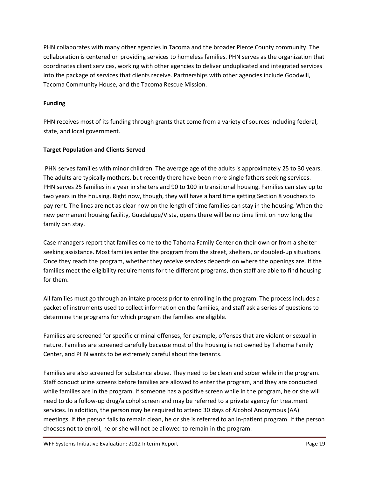PHN collaborates with many other agencies in Tacoma and the broader Pierce County community. The collaboration is centered on providing services to homeless families. PHN serves as the organization that coordinates client services, working with other agencies to deliver unduplicated and integrated services into the package of services that clients receive. Partnerships with other agencies include Goodwill, Tacoma Community House, and the Tacoma Rescue Mission.

# **Funding**

PHN receives most of its funding through grants that come from a variety of sources including federal, state, and local government.

# **Target Population and Clients Served**

PHN serves families with minor children. The average age of the adults is approximately 25 to 30 years. The adults are typically mothers, but recently there have been more single fathers seeking services. PHN serves 25 families in a year in shelters and 90 to 100 in transitional housing. Families can stay up to two years in the housing. Right now, though, they will have a hard time getting Section 8 vouchers to pay rent. The lines are not as clear now on the length of time families can stay in the housing. When the new permanent housing facility, Guadalupe/Vista, opens there will be no time limit on how long the family can stay.

Case managers report that families come to the Tahoma Family Center on their own or from a shelter seeking assistance. Most families enter the program from the street, shelters, or doubled-up situations. Once they reach the program, whether they receive services depends on where the openings are. If the families meet the eligibility requirements for the different programs, then staff are able to find housing for them.

All families must go through an intake process prior to enrolling in the program. The process includes a packet of instruments used to collect information on the families, and staff ask a series of questions to determine the programs for which program the families are eligible.

Families are screened for specific criminal offenses, for example, offenses that are violent or sexual in nature. Families are screened carefully because most of the housing is not owned by Tahoma Family Center, and PHN wants to be extremely careful about the tenants.

Families are also screened for substance abuse. They need to be clean and sober while in the program. Staff conduct urine screens before families are allowed to enter the program, and they are conducted while families are in the program. If someone has a positive screen while in the program, he or she will need to do a follow-up drug/alcohol screen and may be referred to a private agency for treatment services. In addition, the person may be required to attend 30 days of Alcohol Anonymous (AA) meetings. If the person fails to remain clean, he or she is referred to an in-patient program. If the person chooses not to enroll, he or she will not be allowed to remain in the program.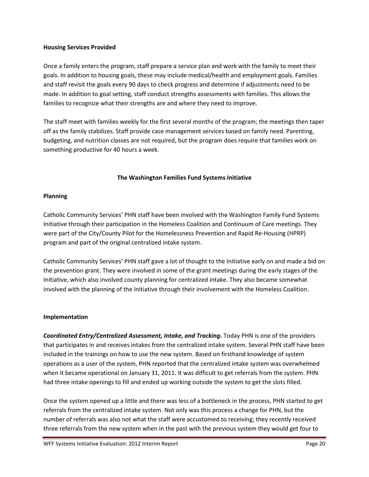### **Housing Services Provided**

Once a family enters the program, staff prepare a service plan and work with the family to meet their goals. In addition to housing goals, these may include medical/health and employment goals. Families and staff revisit the goals every 90 days to check progress and determine if adjustments need to be made. In addition to goal setting, staff conduct strengths assessments with families. This allows the families to recognize what their strengths are and where they need to improve.

The staff meet with families weekly for the first several months of the program; the meetings then taper off as the family stabilizes. Staff provide case management services based on family need. Parenting, budgeting, and nutrition classes are not required, but the program does require that families work on something productive for 40 hours a week.

# **The Washington Families Fund Systems Initiative**

### **Planning**

Catholic Community Services' PHN staff have been involved with the Washington Family Fund Systems Initiative through their participation in the Homeless Coalition and Continuum of Care meetings. They were part of the City/County Pilot for the Homelessness Prevention and Rapid Re-Housing (HPRP) program and part of the original centralized intake system.

Catholic Community Services' PHN staff gave a lot of thought to the Initiative early on and made a bid on the prevention grant. They were involved in some of the grant meetings during the early stages of the Initiative, which also involved county planning for centralized intake. They also became somewhat involved with the planning of the Initiative through their involvement with the Homeless Coalition.

### **Implementation**

*Coordinated Entry/Centralized Assessment, Intake, and Tracking.* Today PHN is one of the providers that participates in and receives intakes from the centralized intake system. Several PHN staff have been included in the trainings on how to use the new system. Based on firsthand knowledge of system operations as a user of the system, PHN reported that the centralized intake system was overwhelmed when it became operational on January 31, 2011. It was difficult to get referrals from the system. PHN had three intake openings to fill and ended up working outside the system to get the slots filled.

Once the system opened up a little and there was less of a bottleneck in the process, PHN started to get referrals from the centralized intake system. Not only was this process a change for PHN, but the number of referrals was also not what the staff were accustomed to receiving; they recently received three referrals from the new system when in the past with the previous system they would get four to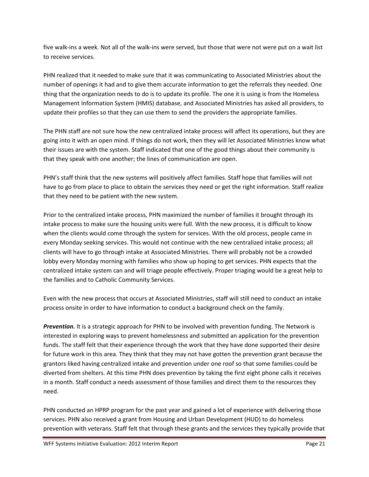five walk-ins a week. Not all of the walk-ins were served, but those that were not were put on a wait list to receive services.

PHN realized that it needed to make sure that it was communicating to Associated Ministries about the number of openings it had and to give them accurate information to get the referrals they needed. One thing that the organization needs to do is to update its profile. The one it is using is from the Homeless Management Information System (HMIS) database, and Associated Ministries has asked all providers, to update their profiles so that they can use them to send the providers the appropriate families.

The PHN staff are not sure how the new centralized intake process will affect its operations, but they are going into it with an open mind. If things do not work, then they will let Associated Ministries know what their issues are with the system. Staff indicated that one of the good things about their community is that they speak with one another; the lines of communication are open.

PHN's staff think that the new systems will positively affect families. Staff hope that families will not have to go from place to place to obtain the services they need or get the right information. Staff realize that they need to be patient with the new system.

Prior to the centralized intake process, PHN maximized the number of families it brought through its intake process to make sure the housing units were full. With the new process, it is difficult to know when the clients would come through the system for services. With the old process, people came in every Monday seeking services. This would not continue with the new centralized intake process; all clients will have to go through intake at Associated Ministries. There will probably not be a crowded lobby every Monday morning with families who show up hoping to get services. PHN expects that the centralized intake system can and will triage people effectively. Proper triaging would be a great help to the families and to Catholic Community Services.

Even with the new process that occurs at Associated Ministries, staff will still need to conduct an intake process onsite in order to have information to conduct a background check on the family.

*Prevention.* It is a strategic approach for PHN to be involved with prevention funding. The Network is interested in exploring ways to prevent homelessness and submitted an application for the prevention funds. The staff felt that their experience through the work that they have done supported their desire for future work in this area. They think that they may not have gotten the prevention grant because the grantors liked having centralized intake and prevention under one roof so that some families could be diverted from shelters. At this time PHN does prevention by taking the first eight phone calls it receives in a month. Staff conduct a needs assessment of those families and direct them to the resources they need.

PHN conducted an HPRP program for the past year and gained a lot of experience with delivering those services. PHN also received a grant from Housing and Urban Development (HUD) to do homeless prevention with veterans. Staff felt that through these grants and the services they typically provide that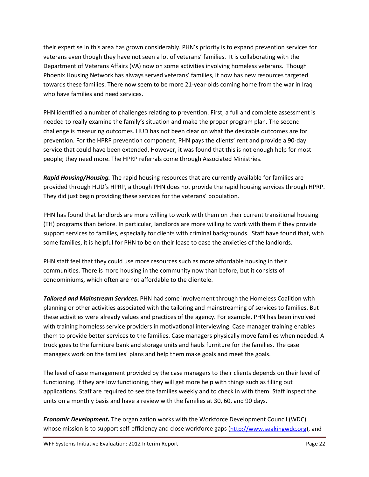their expertise in this area has grown considerably. PHN's priority is to expand prevention services for veterans even though they have not seen a lot of veterans' families. It is collaborating with the Department of Veterans Affairs (VA) now on some activities involving homeless veterans. Though Phoenix Housing Network has always served veterans' families, it now has new resources targeted towards these families. There now seem to be more 21-year-olds coming home from the war in Iraq who have families and need services.

PHN identified a number of challenges relating to prevention. First, a full and complete assessment is needed to really examine the family's situation and make the proper program plan. The second challenge is measuring outcomes. HUD has not been clear on what the desirable outcomes are for prevention. For the HPRP prevention component, PHN pays the clients' rent and provide a 90-day service that could have been extended. However, it was found that this is not enough help for most people; they need more. The HPRP referrals come through Associated Ministries.

*Rapid Housing/Housing.* The rapid housing resources that are currently available for families are provided through HUD's HPRP, although PHN does not provide the rapid housing services through HPRP. They did just begin providing these services for the veterans' population.

PHN has found that landlords are more willing to work with them on their current transitional housing (TH) programs than before. In particular, landlords are more willing to work with them if they provide support services to families, especially for clients with criminal backgrounds. Staff have found that, with some families, it is helpful for PHN to be on their lease to ease the anxieties of the landlords.

PHN staff feel that they could use more resources such as more affordable housing in their communities. There is more housing in the community now than before, but it consists of condominiums, which often are not affordable to the clientele.

*Tailored and Mainstream Services.* PHN had some involvement through the Homeless Coalition with planning or other activities associated with the tailoring and mainstreaming of services to families. But these activities were already values and practices of the agency. For example, PHN has been involved with training homeless service providers in motivational interviewing. Case manager training enables them to provide better services to the families. Case managers physically move families when needed. A truck goes to the furniture bank and storage units and hauls furniture for the families. The case managers work on the families' plans and help them make goals and meet the goals.

The level of case management provided by the case managers to their clients depends on their level of functioning. If they are low functioning, they will get more help with things such as filling out applications. Staff are required to see the families weekly and to check in with them. Staff inspect the units on a monthly basis and have a review with the families at 30, 60, and 90 days.

*Economic Development.* The organization works with the Workforce Development Council (WDC) whose mission is to support self-efficiency and close workforce gaps [\(http://www.seakingwdc.org\)](http://www.seakingwdc.org/), and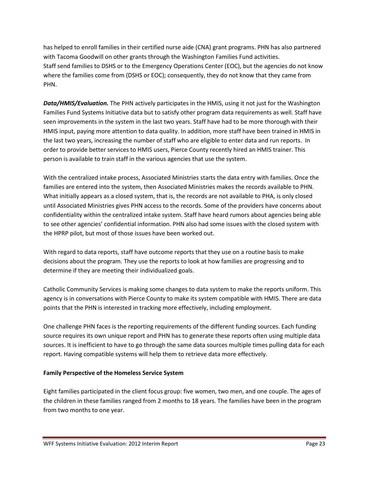has helped to enroll families in their certified nurse aide (CNA) grant programs. PHN has also partnered with Tacoma Goodwill on other grants through the Washington Families Fund activities. Staff send families to DSHS or to the Emergency Operations Center (EOC), but the agencies do not know where the families come from (DSHS or EOC); consequently, they do not know that they came from PHN.

*Data/HMIS/Evaluation.* The PHN actively participates in the HMIS, using it not just for the Washington Families Fund Systems Initiative data but to satisfy other program data requirements as well. Staff have seen improvements in the system in the last two years. Staff have had to be more thorough with their HMIS input, paying more attention to data quality. In addition, more staff have been trained in HMIS in the last two years, increasing the number of staff who are eligible to enter data and run reports. In order to provide better services to HMIS users, Pierce County recently hired an HMIS trainer. This person is available to train staff in the various agencies that use the system.

With the centralized intake process, Associated Ministries starts the data entry with families. Once the families are entered into the system, then Associated Ministries makes the records available to PHN. What initially appears as a closed system, that is, the records are not available to PHA, is only closed until Associated Ministries gives PHN access to the records. Some of the providers have concerns about confidentiality within the centralized intake system. Staff have heard rumors about agencies being able to see other agencies' confidential information. PHN also had some issues with the closed system with the HPRP pilot, but most of those issues have been worked out.

With regard to data reports, staff have outcome reports that they use on a routine basis to make decisions about the program. They use the reports to look at how families are progressing and to determine if they are meeting their individualized goals.

Catholic Community Services is making some changes to data system to make the reports uniform. This agency is in conversations with Pierce County to make its system compatible with HMIS. There are data points that the PHN is interested in tracking more effectively, including employment.

One challenge PHN faces is the reporting requirements of the different funding sources. Each funding source requires its own unique report and PHN has to generate these reports often using multiple data sources. It is inefficient to have to go through the same data sources multiple times pulling data for each report. Having compatible systems will help them to retrieve data more effectively.

# **Family Perspective of the Homeless Service System**

Eight families participated in the client focus group: five women, two men, and one couple. The ages of the children in these families ranged from 2 months to 18 years. The families have been in the program from two months to one year.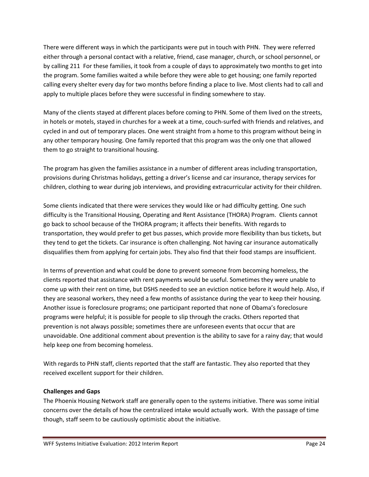There were different ways in which the participants were put in touch with PHN. They were referred either through a personal contact with a relative, friend, case manager, church, or school personnel, or by calling 211 For these families, it took from a couple of days to approximately two months to get into the program. Some families waited a while before they were able to get housing; one family reported calling every shelter every day for two months before finding a place to live. Most clients had to call and apply to multiple places before they were successful in finding somewhere to stay.

Many of the clients stayed at different places before coming to PHN. Some of them lived on the streets, in hotels or motels, stayed in churches for a week at a time, couch-surfed with friends and relatives, and cycled in and out of temporary places. One went straight from a home to this program without being in any other temporary housing. One family reported that this program was the only one that allowed them to go straight to transitional housing.

The program has given the families assistance in a number of different areas including transportation, provisions during Christmas holidays, getting a driver's license and car insurance, therapy services for children, clothing to wear during job interviews, and providing extracurricular activity for their children.

Some clients indicated that there were services they would like or had difficulty getting. One such difficulty is the Transitional Housing, Operating and Rent Assistance (THORA) Program. Clients cannot go back to school because of the THORA program; it affects their benefits. With regards to transportation, they would prefer to get bus passes, which provide more flexibility than bus tickets, but they tend to get the tickets. Car insurance is often challenging. Not having car insurance automatically disqualifies them from applying for certain jobs. They also find that their food stamps are insufficient.

In terms of prevention and what could be done to prevent someone from becoming homeless, the clients reported that assistance with rent payments would be useful. Sometimes they were unable to come up with their rent on time, but DSHS needed to see an eviction notice before it would help. Also, if they are seasonal workers, they need a few months of assistance during the year to keep their housing. Another issue is foreclosure programs; one participant reported that none of Obama's foreclosure programs were helpful; it is possible for people to slip through the cracks. Others reported that prevention is not always possible; sometimes there are unforeseen events that occur that are unavoidable. One additional comment about prevention is the ability to save for a rainy day; that would help keep one from becoming homeless.

With regards to PHN staff, clients reported that the staff are fantastic. They also reported that they received excellent support for their children.

# **Challenges and Gaps**

The Phoenix Housing Network staff are generally open to the systems initiative. There was some initial concerns over the details of how the centralized intake would actually work. With the passage of time though, staff seem to be cautiously optimistic about the initiative.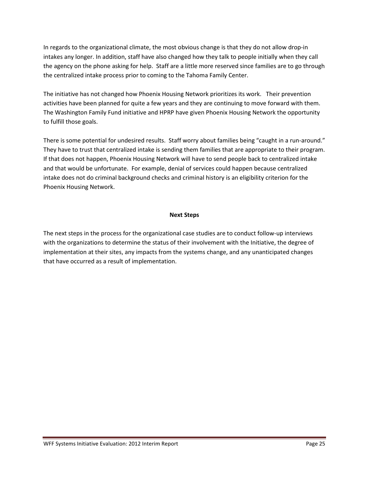In regards to the organizational climate, the most obvious change is that they do not allow drop-in intakes any longer. In addition, staff have also changed how they talk to people initially when they call the agency on the phone asking for help. Staff are a little more reserved since families are to go through the centralized intake process prior to coming to the Tahoma Family Center.

The initiative has not changed how Phoenix Housing Network prioritizes its work. Their prevention activities have been planned for quite a few years and they are continuing to move forward with them. The Washington Family Fund initiative and HPRP have given Phoenix Housing Network the opportunity to fulfill those goals.

There is some potential for undesired results. Staff worry about families being "caught in a run-around." They have to trust that centralized intake is sending them families that are appropriate to their program. If that does not happen, Phoenix Housing Network will have to send people back to centralized intake and that would be unfortunate. For example, denial of services could happen because centralized intake does not do criminal background checks and criminal history is an eligibility criterion for the Phoenix Housing Network.

### **Next Steps**

The next steps in the process for the organizational case studies are to conduct follow-up interviews with the organizations to determine the status of their involvement with the Initiative, the degree of implementation at their sites, any impacts from the systems change, and any unanticipated changes that have occurred as a result of implementation.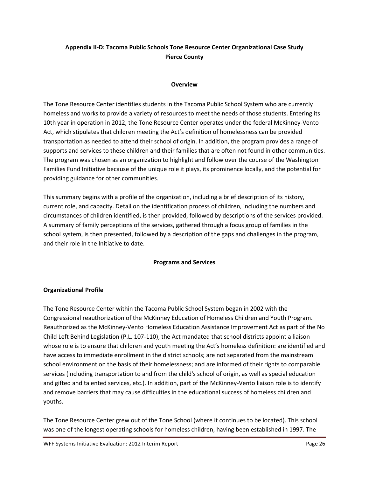# **Appendix II-D: Tacoma Public Schools Tone Resource Center Organizational Case Study Pierce County**

### **Overview**

The Tone Resource Center identifies students in the Tacoma Public School System who are currently homeless and works to provide a variety of resources to meet the needs of those students. Entering its 10th year in operation in 2012, the Tone Resource Center operates under the federal McKinney-Vento Act, which stipulates that children meeting the Act's definition of homelessness can be provided transportation as needed to attend their school of origin. In addition, the program provides a range of supports and services to these children and their families that are often not found in other communities. The program was chosen as an organization to highlight and follow over the course of the Washington Families Fund Initiative because of the unique role it plays, its prominence locally, and the potential for providing guidance for other communities.

This summary begins with a profile of the organization, including a brief description of its history, current role, and capacity. Detail on the identification process of children, including the numbers and circumstances of children identified, is then provided, followed by descriptions of the services provided. A summary of family perceptions of the services, gathered through a focus group of families in the school system, is then presented, followed by a description of the gaps and challenges in the program, and their role in the Initiative to date.

# **Programs and Services**

# **Organizational Profile**

The Tone Resource Center within the Tacoma Public School System began in 2002 with the Congressional reauthorization of the McKinney Education of Homeless Children and Youth Program. Reauthorized as the McKinney-Vento Homeless Education Assistance Improvement Act as part of the No Child Left Behind Legislation (P.L. 107-110), the Act mandated that school districts appoint a liaison whose role is to ensure that children and youth meeting the Act's homeless definition: are identified and have access to immediate enrollment in the district schools; are not separated from the mainstream school environment on the basis of their homelessness; and are informed of their rights to comparable services (including transportation to and from the child's school of origin, as well as special education and gifted and talented services, etc.). In addition, part of the McKinney-Vento liaison role is to identify and remove barriers that may cause difficulties in the educational success of homeless children and youths.

The Tone Resource Center grew out of the Tone School (where it continues to be located). This school was one of the longest operating schools for homeless children, having been established in 1997. The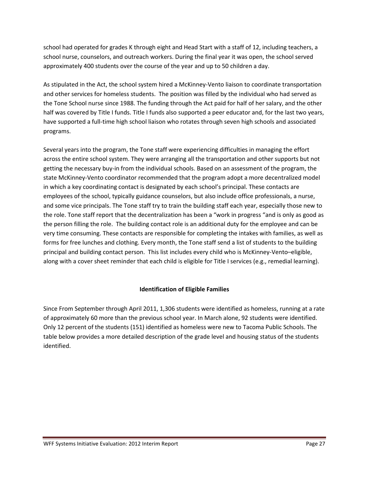school had operated for grades K through eight and Head Start with a staff of 12, including teachers, a school nurse, counselors, and outreach workers. During the final year it was open, the school served approximately 400 students over the course of the year and up to 50 children a day.

As stipulated in the Act, the school system hired a McKinney-Vento liaison to coordinate transportation and other services for homeless students. The position was filled by the individual who had served as the Tone School nurse since 1988. The funding through the Act paid for half of her salary, and the other half was covered by Title I funds. Title I funds also supported a peer educator and, for the last two years, have supported a full-time high school liaison who rotates through seven high schools and associated programs.

Several years into the program, the Tone staff were experiencing difficulties in managing the effort across the entire school system. They were arranging all the transportation and other supports but not getting the necessary buy-in from the individual schools. Based on an assessment of the program, the state McKinney-Vento coordinator recommended that the program adopt a more decentralized model in which a key coordinating contact is designated by each school's principal. These contacts are employees of the school, typically guidance counselors, but also include office professionals, a nurse, and some vice principals. The Tone staff try to train the building staff each year, especially those new to the role. Tone staff report that the decentralization has been a "work in progress "and is only as good as the person filling the role. The building contact role is an additional duty for the employee and can be very time consuming. These contacts are responsible for completing the intakes with families, as well as forms for free lunches and clothing. Every month, the Tone staff send a list of students to the building principal and building contact person. This list includes every child who is McKinney-Vento–eligible, along with a cover sheet reminder that each child is eligible for Title I services (e.g., remedial learning).

# **Identification of Eligible Families**

Since From September through April 2011, 1,306 students were identified as homeless, running at a rate of approximately 60 more than the previous school year. In March alone, 92 students were identified. Only 12 percent of the students (151) identified as homeless were new to Tacoma Public Schools. The table below provides a more detailed description of the grade level and housing status of the students identified.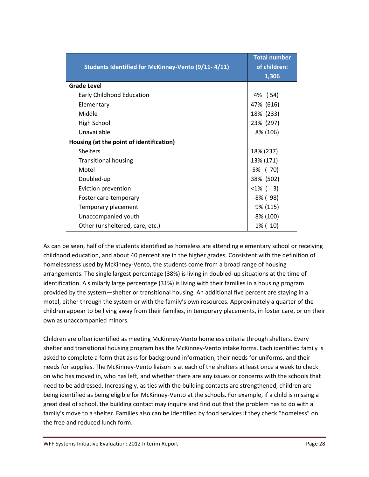| Students Identified for McKinney-Vento (9/11-4/11) | <b>Total number</b><br>of children:<br>1,306 |
|----------------------------------------------------|----------------------------------------------|
| <b>Grade Level</b>                                 |                                              |
| Early Childhood Education                          | 4% (54)                                      |
| Elementary                                         | 47% (616)                                    |
| Middle                                             | 18% (233)                                    |
| High School                                        | 23% (297)                                    |
| Unavailable                                        | 8% (106)                                     |
| Housing (at the point of identification)           |                                              |
| <b>Shelters</b>                                    | 18% (237)                                    |
| <b>Transitional housing</b>                        | 13% (171)                                    |
| Motel                                              | 5% (70)                                      |
| Doubled-up                                         | 38% (502)                                    |
| Eviction prevention                                | $<1\%$ ( 3)                                  |
| Foster care-temporary                              | 8% (98)                                      |
| Temporary placement                                | 9% (115)                                     |
| Unaccompanied youth                                | 8% (100)                                     |
| Other (unsheltered, care, etc.)                    | 1% (10)                                      |

As can be seen, half of the students identified as homeless are attending elementary school or receiving childhood education, and about 40 percent are in the higher grades. Consistent with the definition of homelessness used by McKinney-Vento, the students come from a broad range of housing arrangements. The single largest percentage (38%) is living in doubled-up situations at the time of identification. A similarly large percentage (31%) is living with their families in a housing program provided by the system—shelter or transitional housing. An additional five percent are staying in a motel, either through the system or with the family's own resources. Approximately a quarter of the children appear to be living away from their families, in temporary placements, in foster care, or on their own as unaccompanied minors.

Children are often identified as meeting McKinney-Vento homeless criteria through shelters. Every shelter and transitional housing program has the McKinney-Vento intake forms. Each identified family is asked to complete a form that asks for background information, their needs for uniforms, and their needs for supplies. The McKinney-Vento liaison is at each of the shelters at least once a week to check on who has moved in, who has left, and whether there are any issues or concerns with the schools that need to be addressed. Increasingly, as ties with the building contacts are strengthened, children are being identified as being eligible for McKinney-Vento at the schools. For example, if a child is missing a great deal of school, the building contact may inquire and find out that the problem has to do with a family's move to a shelter. Families also can be identified by food services if they check "homeless" on the free and reduced lunch form.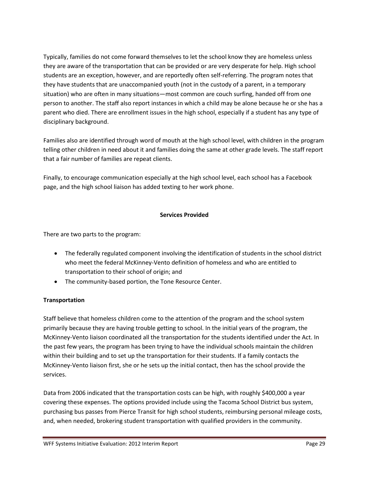Typically, families do not come forward themselves to let the school know they are homeless unless they are aware of the transportation that can be provided or are very desperate for help. High school students are an exception, however, and are reportedly often self-referring. The program notes that they have students that are unaccompanied youth (not in the custody of a parent, in a temporary situation) who are often in many situations—most common are couch surfing, handed off from one person to another. The staff also report instances in which a child may be alone because he or she has a parent who died. There are enrollment issues in the high school, especially if a student has any type of disciplinary background.

Families also are identified through word of mouth at the high school level, with children in the program telling other children in need about it and families doing the same at other grade levels. The staff report that a fair number of families are repeat clients.

Finally, to encourage communication especially at the high school level, each school has a Facebook page, and the high school liaison has added texting to her work phone.

### **Services Provided**

There are two parts to the program:

- The federally regulated component involving the identification of students in the school district who meet the federal McKinney-Vento definition of homeless and who are entitled to transportation to their school of origin; and
- The community-based portion, the Tone Resource Center.

# **Transportation**

Staff believe that homeless children come to the attention of the program and the school system primarily because they are having trouble getting to school. In the initial years of the program, the McKinney-Vento liaison coordinated all the transportation for the students identified under the Act. In the past few years, the program has been trying to have the individual schools maintain the children within their building and to set up the transportation for their students. If a family contacts the McKinney-Vento liaison first, she or he sets up the initial contact, then has the school provide the services.

Data from 2006 indicated that the transportation costs can be high, with roughly \$400,000 a year covering these expenses. The options provided include using the Tacoma School District bus system, purchasing bus passes from Pierce Transit for high school students, reimbursing personal mileage costs, and, when needed, brokering student transportation with qualified providers in the community.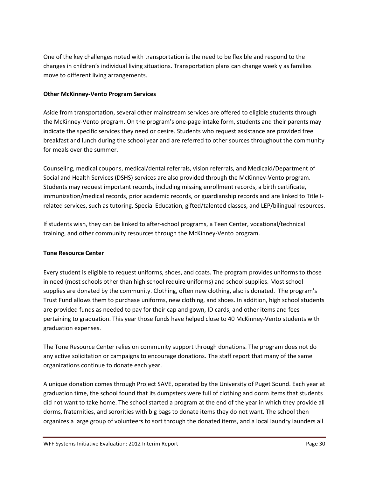One of the key challenges noted with transportation is the need to be flexible and respond to the changes in children's individual living situations. Transportation plans can change weekly as families move to different living arrangements.

### **Other McKinney-Vento Program Services**

Aside from transportation, several other mainstream services are offered to eligible students through the McKinney-Vento program. On the program's one-page intake form, students and their parents may indicate the specific services they need or desire. Students who request assistance are provided free breakfast and lunch during the school year and are referred to other sources throughout the community for meals over the summer.

Counseling, medical coupons, medical/dental referrals, vision referrals, and Medicaid/Department of Social and Health Services (DSHS) services are also provided through the McKinney-Vento program. Students may request important records, including missing enrollment records, a birth certificate, immunization/medical records, prior academic records, or guardianship records and are linked to Title Irelated services, such as tutoring, Special Education, gifted/talented classes, and LEP/bilingual resources.

If students wish, they can be linked to after-school programs, a Teen Center, vocational/technical training, and other community resources through the McKinney-Vento program.

# **Tone Resource Center**

Every student is eligible to request uniforms, shoes, and coats. The program provides uniforms to those in need (most schools other than high school require uniforms) and school supplies. Most school supplies are donated by the community. Clothing, often new clothing, also is donated. The program's Trust Fund allows them to purchase uniforms, new clothing, and shoes. In addition, high school students are provided funds as needed to pay for their cap and gown, ID cards, and other items and fees pertaining to graduation. This year those funds have helped close to 40 McKinney-Vento students with graduation expenses.

The Tone Resource Center relies on community support through donations. The program does not do any active solicitation or campaigns to encourage donations. The staff report that many of the same organizations continue to donate each year.

A unique donation comes through Project SAVE, operated by the University of Puget Sound. Each year at graduation time, the school found that its dumpsters were full of clothing and dorm items that students did not want to take home. The school started a program at the end of the year in which they provide all dorms, fraternities, and sororities with big bags to donate items they do not want. The school then organizes a large group of volunteers to sort through the donated items, and a local laundry launders all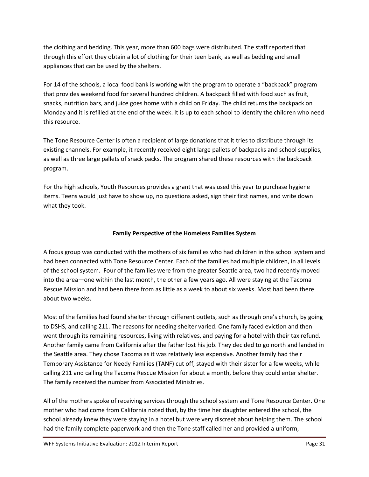the clothing and bedding. This year, more than 600 bags were distributed. The staff reported that through this effort they obtain a lot of clothing for their teen bank, as well as bedding and small appliances that can be used by the shelters.

For 14 of the schools, a local food bank is working with the program to operate a "backpack" program that provides weekend food for several hundred children. A backpack filled with food such as fruit, snacks, nutrition bars, and juice goes home with a child on Friday. The child returns the backpack on Monday and it is refilled at the end of the week. It is up to each school to identify the children who need this resource.

The Tone Resource Center is often a recipient of large donations that it tries to distribute through its existing channels. For example, it recently received eight large pallets of backpacks and school supplies, as well as three large pallets of snack packs. The program shared these resources with the backpack program.

For the high schools, Youth Resources provides a grant that was used this year to purchase hygiene items. Teens would just have to show up, no questions asked, sign their first names, and write down what they took.

# **Family Perspective of the Homeless Families System**

A focus group was conducted with the mothers of six families who had children in the school system and had been connected with Tone Resource Center. Each of the families had multiple children, in all levels of the school system. Four of the families were from the greater Seattle area, two had recently moved into the area—one within the last month, the other a few years ago. All were staying at the Tacoma Rescue Mission and had been there from as little as a week to about six weeks. Most had been there about two weeks.

Most of the families had found shelter through different outlets, such as through one's church, by going to DSHS, and calling 211. The reasons for needing shelter varied. One family faced eviction and then went through its remaining resources, living with relatives, and paying for a hotel with their tax refund. Another family came from California after the father lost his job. They decided to go north and landed in the Seattle area. They chose Tacoma as it was relatively less expensive. Another family had their Temporary Assistance for Needy Families (TANF) cut off, stayed with their sister for a few weeks, while calling 211 and calling the Tacoma Rescue Mission for about a month, before they could enter shelter. The family received the number from Associated Ministries.

All of the mothers spoke of receiving services through the school system and Tone Resource Center. One mother who had come from California noted that, by the time her daughter entered the school, the school already knew they were staying in a hotel but were very discreet about helping them. The school had the family complete paperwork and then the Tone staff called her and provided a uniform,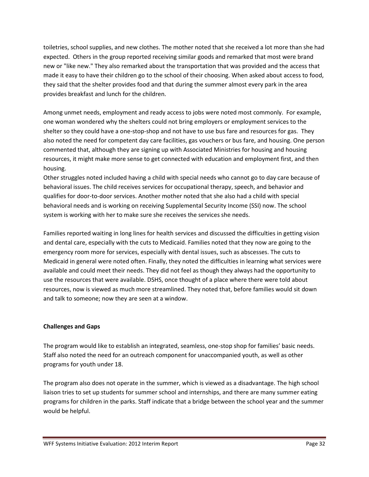toiletries, school supplies, and new clothes. The mother noted that she received a lot more than she had expected. Others in the group reported receiving similar goods and remarked that most were brand new or "like new." They also remarked about the transportation that was provided and the access that made it easy to have their children go to the school of their choosing. When asked about access to food, they said that the shelter provides food and that during the summer almost every park in the area provides breakfast and lunch for the children.

Among unmet needs, employment and ready access to jobs were noted most commonly. For example, one woman wondered why the shelters could not bring employers or employment services to the shelter so they could have a one-stop-shop and not have to use bus fare and resources for gas. They also noted the need for competent day care facilities, gas vouchers or bus fare, and housing. One person commented that, although they are signing up with Associated Ministries for housing and housing resources, it might make more sense to get connected with education and employment first, and then housing.

Other struggles noted included having a child with special needs who cannot go to day care because of behavioral issues. The child receives services for occupational therapy, speech, and behavior and qualifies for door-to-door services. Another mother noted that she also had a child with special behavioral needs and is working on receiving Supplemental Security Income (SSI) now. The school system is working with her to make sure she receives the services she needs.

Families reported waiting in long lines for health services and discussed the difficulties in getting vision and dental care, especially with the cuts to Medicaid. Families noted that they now are going to the emergency room more for services, especially with dental issues, such as abscesses. The cuts to Medicaid in general were noted often. Finally, they noted the difficulties in learning what services were available and could meet their needs. They did not feel as though they always had the opportunity to use the resources that were available. DSHS, once thought of a place where there were told about resources, now is viewed as much more streamlined. They noted that, before families would sit down and talk to someone; now they are seen at a window.

# **Challenges and Gaps**

The program would like to establish an integrated, seamless, one-stop shop for families' basic needs. Staff also noted the need for an outreach component for unaccompanied youth, as well as other programs for youth under 18.

The program also does not operate in the summer, which is viewed as a disadvantage. The high school liaison tries to set up students for summer school and internships, and there are many summer eating programs for children in the parks. Staff indicate that a bridge between the school year and the summer would be helpful.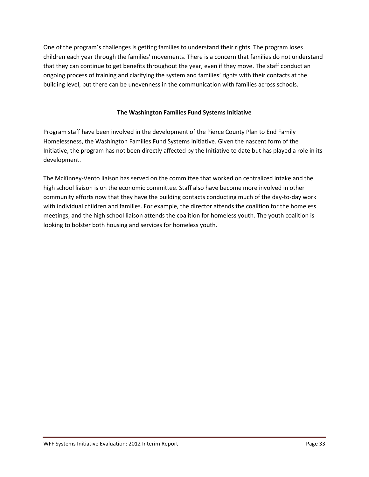One of the program's challenges is getting families to understand their rights. The program loses children each year through the families' movements. There is a concern that families do not understand that they can continue to get benefits throughout the year, even if they move. The staff conduct an ongoing process of training and clarifying the system and families' rights with their contacts at the building level, but there can be unevenness in the communication with families across schools.

### **The Washington Families Fund Systems Initiative**

Program staff have been involved in the development of the Pierce County Plan to End Family Homelessness, the Washington Families Fund Systems Initiative. Given the nascent form of the Initiative, the program has not been directly affected by the Initiative to date but has played a role in its development.

The McKinney-Vento liaison has served on the committee that worked on centralized intake and the high school liaison is on the economic committee. Staff also have become more involved in other community efforts now that they have the building contacts conducting much of the day-to-day work with individual children and families. For example, the director attends the coalition for the homeless meetings, and the high school liaison attends the coalition for homeless youth. The youth coalition is looking to bolster both housing and services for homeless youth.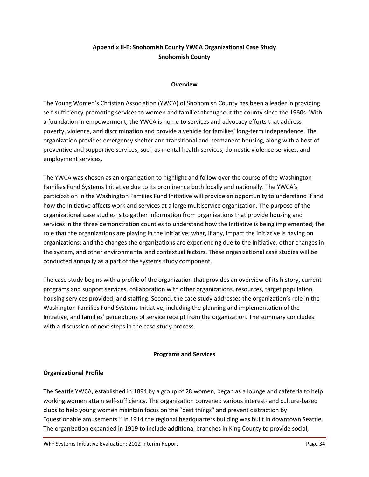# **Appendix II-E: Snohomish County YWCA Organizational Case Study Snohomish County**

#### **Overview**

The Young Women's Christian Association (YWCA) of Snohomish County has been a leader in providing self-sufficiency-promoting services to women and families throughout the county since the 1960s. With a foundation in empowerment, the YWCA is home to services and advocacy efforts that address poverty, violence, and discrimination and provide a vehicle for families' long-term independence. The organization provides emergency shelter and transitional and permanent housing, along with a host of preventive and supportive services, such as mental health services, domestic violence services, and employment services.

The YWCA was chosen as an organization to highlight and follow over the course of the Washington Families Fund Systems Initiative due to its prominence both locally and nationally. The YWCA's participation in the Washington Families Fund Initiative will provide an opportunity to understand if and how the Initiative affects work and services at a large multiservice organization. The purpose of the organizational case studies is to gather information from organizations that provide housing and services in the three demonstration counties to understand how the Initiative is being implemented; the role that the organizations are playing in the Initiative; what, if any, impact the Initiative is having on organizations; and the changes the organizations are experiencing due to the Initiative, other changes in the system, and other environmental and contextual factors. These organizational case studies will be conducted annually as a part of the systems study component.

The case study begins with a profile of the organization that provides an overview of its history, current programs and support services, collaboration with other organizations, resources, target population, housing services provided, and staffing. Second, the case study addresses the organization's role in the Washington Families Fund Systems Initiative, including the planning and implementation of the Initiative, and families' perceptions of service receipt from the organization. The summary concludes with a discussion of next steps in the case study process.

### **Programs and Services**

### **Organizational Profile**

The Seattle YWCA, established in 1894 by a group of 28 women, began as a lounge and cafeteria to help working women attain self-sufficiency. The organization convened various interest- and culture-based clubs to help young women maintain focus on the "best things" and prevent distraction by "questionable amusements." In 1914 the regional headquarters building was built in downtown Seattle. The organization expanded in 1919 to include additional branches in King County to provide social,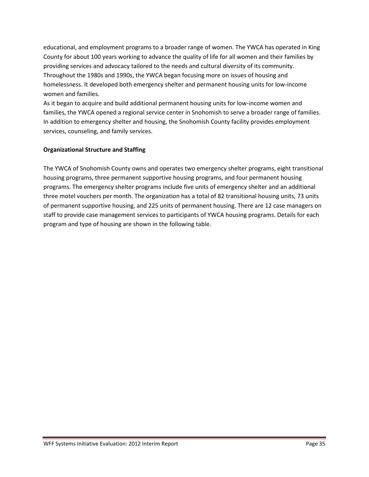educational, and employment programs to a broader range of women. The YWCA has operated in King County for about 100 years working to advance the quality of life for all women and their families by providing services and advocacy tailored to the needs and cultural diversity of its community. Throughout the 1980s and 1990s, the YWCA began focusing more on issues of housing and homelessness. It developed both emergency shelter and permanent housing units for low-income women and families.

As it began to acquire and build additional permanent housing units for low-income women and families, the YWCA opened a regional service center in Snohomish to serve a broader range of families. In addition to emergency shelter and housing, the Snohomish County facility provides employment services, counseling, and family services.

### **Organizational Structure and Staffing**

The YWCA of Snohomish County owns and operates two emergency shelter programs, eight transitional housing programs, three permanent supportive housing programs, and four permanent housing programs. The emergency shelter programs include five units of emergency shelter and an additional three motel vouchers per month. The organization has a total of 82 transitional housing units, 73 units of permanent supportive housing, and 225 units of permanent housing. There are 12 case managers on staff to provide case management services to participants of YWCA housing programs. Details for each program and type of housing are shown in the following table.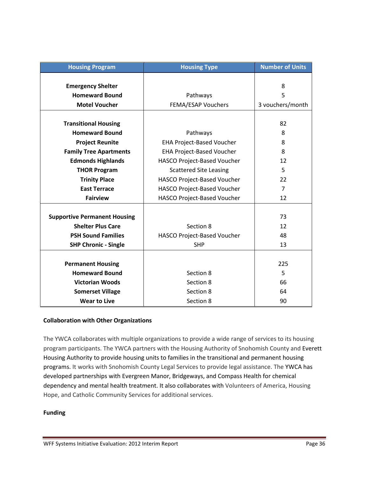| <b>Housing Program</b>              | <b>Housing Type</b>                | <b>Number of Units</b> |
|-------------------------------------|------------------------------------|------------------------|
|                                     |                                    |                        |
| <b>Emergency Shelter</b>            |                                    | 8                      |
| <b>Homeward Bound</b>               | Pathways                           | 5                      |
| <b>Motel Voucher</b>                | FEMA/ESAP Vouchers                 | 3 vouchers/month       |
|                                     |                                    |                        |
| <b>Transitional Housing</b>         |                                    | 82                     |
| <b>Homeward Bound</b>               | Pathways                           | 8                      |
| <b>Project Reunite</b>              | <b>EHA Project-Based Voucher</b>   | 8                      |
| <b>Family Tree Apartments</b>       | <b>EHA Project-Based Voucher</b>   | 8                      |
| <b>Edmonds Highlands</b>            | <b>HASCO Project-Based Voucher</b> | 12                     |
| <b>THOR Program</b>                 | <b>Scattered Site Leasing</b>      | 5                      |
| <b>Trinity Place</b>                | <b>HASCO Project-Based Voucher</b> | 22                     |
| <b>East Terrace</b>                 | HASCO Project-Based Voucher        | 7                      |
| <b>Fairview</b>                     | <b>HASCO Project-Based Voucher</b> | 12                     |
|                                     |                                    |                        |
| <b>Supportive Permanent Housing</b> |                                    | 73                     |
| <b>Shelter Plus Care</b>            | Section 8                          | 12                     |
| <b>PSH Sound Families</b>           | HASCO Project-Based Voucher        | 48                     |
| <b>SHP Chronic - Single</b>         | <b>SHP</b>                         | 13                     |
|                                     |                                    |                        |
| <b>Permanent Housing</b>            |                                    | 225                    |
| <b>Homeward Bound</b>               | Section 8                          | 5                      |
| <b>Victorian Woods</b>              | Section 8                          | 66                     |
| <b>Somerset Village</b>             | Section 8                          | 64                     |
| <b>Wear to Live</b>                 | Section 8                          | 90                     |

# **Collaboration with Other Organizations**

The YWCA collaborates with multiple organizations to provide a wide range of services to its housing program participants. The YWCA partners with the Housing Authority of Snohomish County and Everett Housing Authority to provide housing units to families in the transitional and permanent housing programs. It works with Snohomish County Legal Services to provide legal assistance. The YWCA has developed partnerships with Evergreen Manor, Bridgeways, and Compass Health for chemical dependency and mental health treatment. It also collaborates with Volunteers of America, Housing Hope, and Catholic Community Services for additional services.

### **Funding**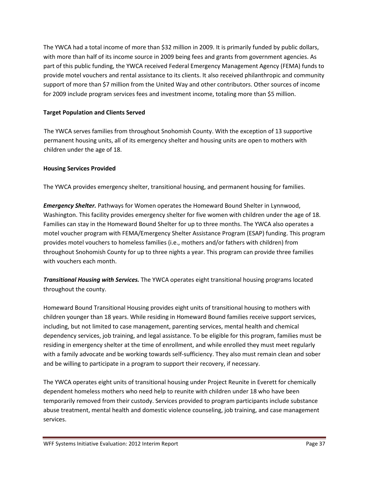The YWCA had a total income of more than \$32 million in 2009. It is primarily funded by public dollars, with more than half of its income source in 2009 being fees and grants from government agencies. As part of this public funding, the YWCA received Federal Emergency Management Agency (FEMA) funds to provide motel vouchers and rental assistance to its clients. It also received philanthropic and community support of more than \$7 million from the United Way and other contributors. Other sources of income for 2009 include program services fees and investment income, totaling more than \$5 million.

# **Target Population and Clients Served**

The YWCA serves families from throughout Snohomish County. With the exception of 13 supportive permanent housing units, all of its emergency shelter and housing units are open to mothers with children under the age of 18.

# **Housing Services Provided**

The YWCA provides emergency shelter, transitional housing, and permanent housing for families.

*Emergency Shelter.* Pathways for Women operates the Homeward Bound Shelter in Lynnwood, Washington. This facility provides emergency shelter for five women with children under the age of 18. Families can stay in the Homeward Bound Shelter for up to three months. The YWCA also operates a motel voucher program with FEMA/Emergency Shelter Assistance Program (ESAP) funding. This program provides motel vouchers to homeless families (i.e., mothers and/or fathers with children) from throughout Snohomish County for up to three nights a year. This program can provide three families with vouchers each month.

*Transitional Housing with Services.* The YWCA operates eight transitional housing programs located throughout the county.

Homeward Bound Transitional Housing provides eight units of transitional housing to mothers with children younger than 18 years. While residing in Homeward Bound families receive support services, including, but not limited to case management, parenting services, mental health and chemical dependency services, job training, and legal assistance. To be eligible for this program, families must be residing in emergency shelter at the time of enrollment, and while enrolled they must meet regularly with a family advocate and be working towards self-sufficiency. They also must remain clean and sober and be willing to participate in a program to support their recovery, if necessary.

The YWCA operates eight units of transitional housing under Project Reunite in Everett for chemically dependent homeless mothers who need help to reunite with children under 18 who have been temporarily removed from their custody. Services provided to program participants include substance abuse treatment, mental health and domestic violence counseling, job training, and case management services.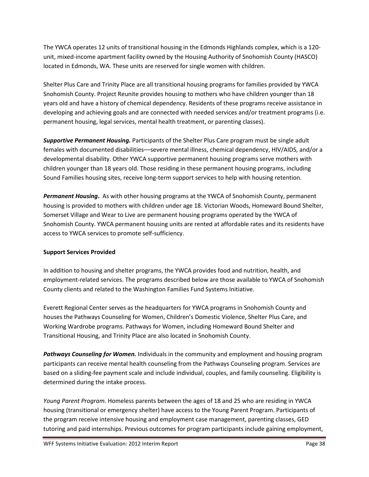The YWCA operates 12 units of transitional housing in the Edmonds Highlands complex, which is a 120 unit, mixed-income apartment facility owned by the Housing Authority of Snohomish County (HASCO) located in Edmonds, WA. These units are reserved for single women with children.

Shelter Plus Care and Trinity Place are all transitional housing programs for families provided by YWCA Snohomish County. Project Reunite provides housing to mothers who have children younger than 18 years old and have a history of chemical dependency. Residents of these programs receive assistance in developing and achieving goals and are connected with needed services and/or treatment programs (i.e. permanent housing, legal services, mental health treatment, or parenting classes).

*Supportive Permanent Housing.* Participants of the Shelter Plus Care program must be single adult females with documented disabilities––severe mental illness, chemical dependency, HIV/AIDS, and/or a developmental disability. Other YWCA supportive permanent housing programs serve mothers with children younger than 18 years old. Those residing in these permanent housing programs, including Sound Families housing sites, receive long-term support services to help with housing retention.

*Permanent Housing***.** As with other housing programs at the YWCA of Snohomish County, permanent housing is provided to mothers with children under age 18. Victorian Woods, Homeward Bound Shelter, Somerset Village and Wear to Live are permanent housing programs operated by the YWCA of Snohomish County. YWCA permanent housing units are rented at affordable rates and its residents have access to YWCA services to promote self-sufficiency.

# **Support Services Provided**

In addition to housing and shelter programs, the YWCA provides food and nutrition, health, and employment-related services. The programs described below are those available to YWCA of Snohomish County clients and related to the Washington Families Fund Systems Initiative.

Everett Regional Center serves as the headquarters for YWCA programs in Snohomish County and houses the Pathways Counseling for Women, Children's Domestic Violence, Shelter Plus Care, and Working Wardrobe programs. Pathways for Women, including Homeward Bound Shelter and Transitional Housing, and Trinity Place are also located in Snohomish County.

*Pathways Counseling for Women.* Individuals in the community and employment and housing program participants can receive mental health counseling from the Pathways Counseling program. Services are based on a sliding-fee payment scale and include individual, couples, and family counseling. Eligibility is determined during the intake process.

*Young Parent Program.* Homeless parents between the ages of 18 and 25 who are residing in YWCA housing (transitional or emergency shelter) have access to the Young Parent Program. Participants of the program receive intensive housing and employment case management, parenting classes, GED tutoring and paid internships. Previous outcomes for program participants include gaining employment,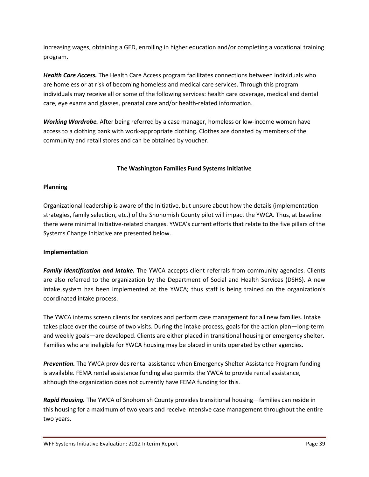increasing wages, obtaining a GED, enrolling in higher education and/or completing a vocational training program.

*Health Care Access.* The Health Care Access program facilitates connections between individuals who are homeless or at risk of becoming homeless and medical care services. Through this program individuals may receive all or some of the following services: health care coverage, medical and dental care, eye exams and glasses, prenatal care and/or health-related information.

*Working Wardrobe.* After being referred by a case manager, homeless or low-income women have access to a clothing bank with work-appropriate clothing. Clothes are donated by members of the community and retail stores and can be obtained by voucher.

# **The Washington Families Fund Systems Initiative**

### **Planning**

Organizational leadership is aware of the Initiative, but unsure about how the details (implementation strategies, family selection, etc.) of the Snohomish County pilot will impact the YWCA. Thus, at baseline there were minimal Initiative-related changes. YWCA's current efforts that relate to the five pillars of the Systems Change Initiative are presented below.

### **Implementation**

*Family Identification and Intake.* The YWCA accepts client referrals from community agencies. Clients are also referred to the organization by the Department of Social and Health Services (DSHS). A new intake system has been implemented at the YWCA; thus staff is being trained on the organization's coordinated intake process.

The YWCA interns screen clients for services and perform case management for all new families. Intake takes place over the course of two visits. During the intake process, goals for the action plan—long-term and weekly goals—are developed. Clients are either placed in transitional housing or emergency shelter. Families who are ineligible for YWCA housing may be placed in units operated by other agencies.

*Prevention.* The YWCA provides rental assistance when Emergency Shelter Assistance Program funding is available. FEMA rental assistance funding also permits the YWCA to provide rental assistance, although the organization does not currently have FEMA funding for this.

*Rapid Housing.* The YWCA of Snohomish County provides transitional housing—families can reside in this housing for a maximum of two years and receive intensive case management throughout the entire two years.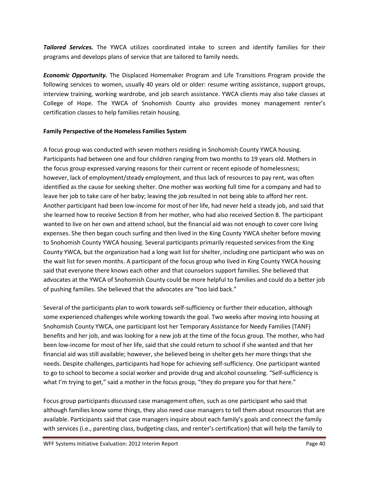*Tailored Services.* The YWCA utilizes coordinated intake to screen and identify families for their programs and develops plans of service that are tailored to family needs.

*Economic Opportunity.* The Displaced Homemaker Program and Life Transitions Program provide the following services to women, usually 40 years old or older: resume writing assistance, support groups, interview training, working wardrobe, and job search assistance. YWCA clients may also take classes at College of Hope. The YWCA of Snohomish County also provides money management renter's certification classes to help families retain housing.

# **Family Perspective of the Homeless Families System**

A focus group was conducted with seven mothers residing in Snohomish County YWCA housing. Participants had between one and four children ranging from two months to 19 years old. Mothers in the focus group expressed varying reasons for their current or recent episode of homelessness; however, lack of employment/steady employment, and thus lack of resources to pay rent, was often identified as the cause for seeking shelter. One mother was working full time for a company and had to leave her job to take care of her baby; leaving the job resulted in not being able to afford her rent. Another participant had been low-income for most of her life, had never held a steady job, and said that she learned how to receive Section 8 from her mother, who had also received Section 8. The participant wanted to live on her own and attend school, but the financial aid was not enough to cover core living expenses. She then began couch surfing and then lived in the King County YWCA shelter before moving to Snohomish County YWCA housing. Several participants primarily requested services from the King County YWCA, but the organization had a long wait list for shelter, including one participant who was on the wait list for seven months. A participant of the focus group who lived in King County YWCA housing said that everyone there knows each other and that counselors support families. She believed that advocates at the YWCA of Snohomish County could be more helpful to families and could do a better job of pushing families. She believed that the advocates are "too laid back."

Several of the participants plan to work towards self-sufficiency or further their education, although some experienced challenges while working towards the goal. Two weeks after moving into housing at Snohomish County YWCA, one participant lost her Temporary Assistance for Needy Families (TANF) benefits and her job, and was looking for a new job at the time of the focus group. The mother, who had been low-income for most of her life, said that she could return to school if she wanted and that her financial aid was still available; however, she believed being in shelter gets her more things that she needs. Despite challenges, participants had hope for achieving self-sufficiency. One participant wanted to go to school to become a social worker and provide drug and alcohol counseling. "Self-sufficiency is what I'm trying to get," said a mother in the focus group, "they do prepare you for that here."

Focus group participants discussed case management often, such as one participant who said that although families know some things, they also need case managers to tell them about resources that are available. Participants said that case managers inquire about each family's goals and connect the family with services (i.e., parenting class, budgeting class, and renter's certification) that will help the family to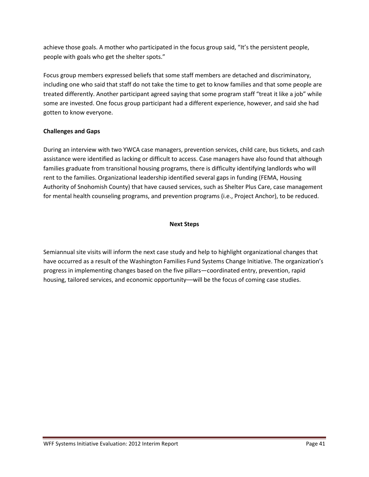achieve those goals. A mother who participated in the focus group said, "It's the persistent people, people with goals who get the shelter spots."

Focus group members expressed beliefs that some staff members are detached and discriminatory, including one who said that staff do not take the time to get to know families and that some people are treated differently. Another participant agreed saying that some program staff "treat it like a job" while some are invested. One focus group participant had a different experience, however, and said she had gotten to know everyone.

# **Challenges and Gaps**

During an interview with two YWCA case managers, prevention services, child care, bus tickets, and cash assistance were identified as lacking or difficult to access. Case managers have also found that although families graduate from transitional housing programs, there is difficulty identifying landlords who will rent to the families. Organizational leadership identified several gaps in funding (FEMA, Housing Authority of Snohomish County) that have caused services, such as Shelter Plus Care, case management for mental health counseling programs, and prevention programs (i.e., Project Anchor), to be reduced.

# **Next Steps**

Semiannual site visits will inform the next case study and help to highlight organizational changes that have occurred as a result of the Washington Families Fund Systems Change Initiative. The organization's progress in implementing changes based on the five pillars—coordinated entry, prevention, rapid housing, tailored services, and economic opportunity—will be the focus of coming case studies.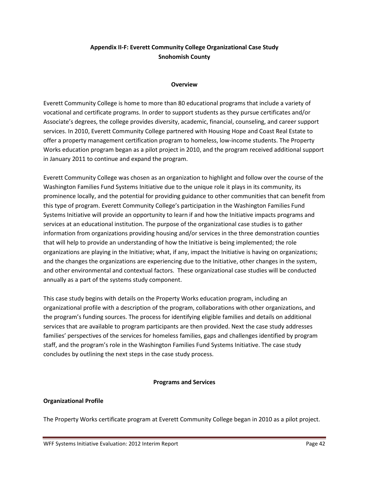# **Appendix II-F: Everett Community College Organizational Case Study Snohomish County**

#### **Overview**

Everett Community College is home to more than 80 educational programs that include a variety of vocational and certificate programs. In order to support students as they pursue certificates and/or Associate's degrees, the college provides diversity, academic, financial, counseling, and career support services. In 2010, Everett Community College partnered with Housing Hope and Coast Real Estate to offer a property management certification program to homeless, low-income students. The Property Works education program began as a pilot project in 2010, and the program received additional support in January 2011 to continue and expand the program.

Everett Community College was chosen as an organization to highlight and follow over the course of the Washington Families Fund Systems Initiative due to the unique role it plays in its community, its prominence locally, and the potential for providing guidance to other communities that can benefit from this type of program. Everett Community College's participation in the Washington Families Fund Systems Initiative will provide an opportunity to learn if and how the Initiative impacts programs and services at an educational institution. The purpose of the organizational case studies is to gather information from organizations providing housing and/or services in the three demonstration counties that will help to provide an understanding of how the Initiative is being implemented; the role organizations are playing in the Initiative; what, if any, impact the Initiative is having on organizations; and the changes the organizations are experiencing due to the Initiative, other changes in the system, and other environmental and contextual factors. These organizational case studies will be conducted annually as a part of the systems study component.

This case study begins with details on the Property Works education program, including an organizational profile with a description of the program, collaborations with other organizations, and the program's funding sources. The process for identifying eligible families and details on additional services that are available to program participants are then provided. Next the case study addresses families' perspectives of the services for homeless families, gaps and challenges identified by program staff, and the program's role in the Washington Families Fund Systems Initiative. The case study concludes by outlining the next steps in the case study process.

### **Programs and Services**

### **Organizational Profile**

The Property Works certificate program at Everett Community College began in 2010 as a pilot project.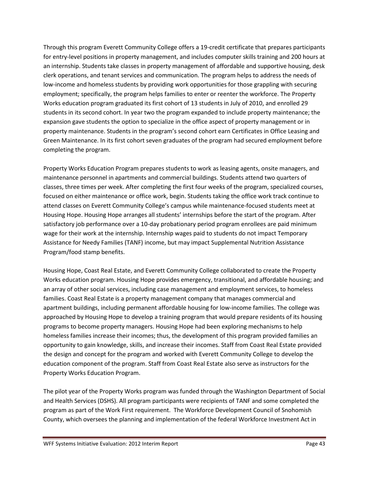Through this program Everett Community College offers a 19-credit certificate that prepares participants for entry-level positions in property management, and includes computer skills training and 200 hours at an internship. Students take classes in property management of affordable and supportive housing, desk clerk operations, and tenant services and communication. The program helps to address the needs of low-income and homeless students by providing work opportunities for those grappling with securing employment; specifically, the program helps families to enter or reenter the workforce. The Property Works education program graduated its first cohort of 13 students in July of 2010, and enrolled 29 students in its second cohort. In year two the program expanded to include property maintenance; the expansion gave students the option to specialize in the office aspect of property management or in property maintenance. Students in the program's second cohort earn Certificates in Office Leasing and Green Maintenance. In its first cohort seven graduates of the program had secured employment before completing the program.

Property Works Education Program prepares students to work as leasing agents, onsite managers, and maintenance personnel in apartments and commercial buildings. Students attend two quarters of classes, three times per week. After completing the first four weeks of the program, specialized courses, focused on either maintenance or office work, begin. Students taking the office work track continue to attend classes on Everett Community College's campus while maintenance-focused students meet at Housing Hope. Housing Hope arranges all students' internships before the start of the program. After satisfactory job performance over a 10-day probationary period program enrollees are paid minimum wage for their work at the internship. Internship wages paid to students do not impact Temporary Assistance for Needy Families (TANF) income, but may impact Supplemental Nutrition Assistance Program/food stamp benefits.

Housing Hope, Coast Real Estate, and Everett Community College collaborated to create the Property Works education program. Housing Hope provides emergency, transitional, and affordable housing; and an array of other social services, including case management and employment services, to homeless families. Coast Real Estate is a property management company that manages commercial and apartment buildings, including permanent affordable housing for low-income families. The college was approached by Housing Hope to develop a training program that would prepare residents of its housing programs to become property managers. Housing Hope had been exploring mechanisms to help homeless families increase their incomes; thus, the development of this program provided families an opportunity to gain knowledge, skills, and increase their incomes. Staff from Coast Real Estate provided the design and concept for the program and worked with Everett Community College to develop the education component of the program. Staff from Coast Real Estate also serve as instructors for the Property Works Education Program.

The pilot year of the Property Works program was funded through the Washington Department of Social and Health Services (DSHS). All program participants were recipients of TANF and some completed the program as part of the Work First requirement. The Workforce Development Council of Snohomish County, which oversees the planning and implementation of the federal Workforce Investment Act in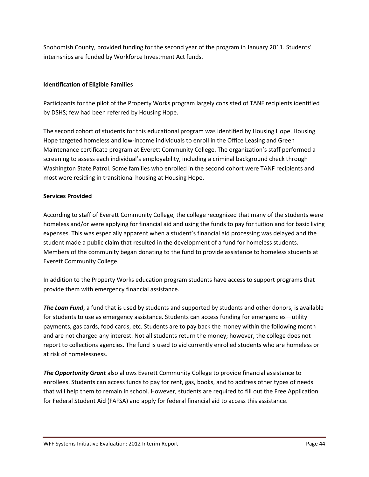Snohomish County, provided funding for the second year of the program in January 2011. Students' internships are funded by Workforce Investment Act funds.

# **Identification of Eligible Families**

Participants for the pilot of the Property Works program largely consisted of TANF recipients identified by DSHS; few had been referred by Housing Hope.

The second cohort of students for this educational program was identified by Housing Hope. Housing Hope targeted homeless and low-income individuals to enroll in the Office Leasing and Green Maintenance certificate program at Everett Community College. The organization's staff performed a screening to assess each individual's employability, including a criminal background check through Washington State Patrol. Some families who enrolled in the second cohort were TANF recipients and most were residing in transitional housing at Housing Hope.

# **Services Provided**

According to staff of Everett Community College, the college recognized that many of the students were homeless and/or were applying for financial aid and using the funds to pay for tuition and for basic living expenses. This was especially apparent when a student's financial aid processing was delayed and the student made a public claim that resulted in the development of a fund for homeless students. Members of the community began donating to the fund to provide assistance to homeless students at Everett Community College.

In addition to the Property Works education program students have access to support programs that provide them with emergency financial assistance.

*The Loan Fund*, a fund that is used by students and supported by students and other donors, is available for students to use as emergency assistance. Students can access funding for emergencies—utility payments, gas cards, food cards, etc. Students are to pay back the money within the following month and are not charged any interest. Not all students return the money; however, the college does not report to collections agencies. The fund is used to aid currently enrolled students who are homeless or at risk of homelessness.

*The Opportunity Grant* also allows Everett Community College to provide financial assistance to enrollees. Students can access funds to pay for rent, gas, books, and to address other types of needs that will help them to remain in school. However, students are required to fill out the Free Application for Federal Student Aid (FAFSA) and apply for federal financial aid to access this assistance.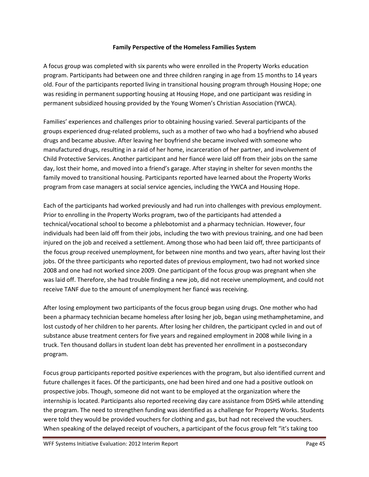### **Family Perspective of the Homeless Families System**

A focus group was completed with six parents who were enrolled in the Property Works education program. Participants had between one and three children ranging in age from 15 months to 14 years old. Four of the participants reported living in transitional housing program through Housing Hope; one was residing in permanent supporting housing at Housing Hope, and one participant was residing in permanent subsidized housing provided by the Young Women's Christian Association (YWCA).

Families' experiences and challenges prior to obtaining housing varied. Several participants of the groups experienced drug-related problems, such as a mother of two who had a boyfriend who abused drugs and became abusive. After leaving her boyfriend she became involved with someone who manufactured drugs, resulting in a raid of her home, incarceration of her partner, and involvement of Child Protective Services. Another participant and her fiancé were laid off from their jobs on the same day, lost their home, and moved into a friend's garage. After staying in shelter for seven months the family moved to transitional housing. Participants reported have learned about the Property Works program from case managers at social service agencies, including the YWCA and Housing Hope.

Each of the participants had worked previously and had run into challenges with previous employment. Prior to enrolling in the Property Works program, two of the participants had attended a technical/vocational school to become a phlebotomist and a pharmacy technician. However, four individuals had been laid off from their jobs, including the two with previous training, and one had been injured on the job and received a settlement. Among those who had been laid off, three participants of the focus group received unemployment, for between nine months and two years, after having lost their jobs. Of the three participants who reported dates of previous employment, two had not worked since 2008 and one had not worked since 2009. One participant of the focus group was pregnant when she was laid off. Therefore, she had trouble finding a new job, did not receive unemployment, and could not receive TANF due to the amount of unemployment her fiancé was receiving.

After losing employment two participants of the focus group began using drugs. One mother who had been a pharmacy technician became homeless after losing her job, began using methamphetamine, and lost custody of her children to her parents. After losing her children, the participant cycled in and out of substance abuse treatment centers for five years and regained employment in 2008 while living in a truck. Ten thousand dollars in student loan debt has prevented her enrollment in a postsecondary program.

Focus group participants reported positive experiences with the program, but also identified current and future challenges it faces. Of the participants, one had been hired and one had a positive outlook on prospective jobs. Though, someone did not want to be employed at the organization where the internship is located. Participants also reported receiving day care assistance from DSHS while attending the program. The need to strengthen funding was identified as a challenge for Property Works. Students were told they would be provided vouchers for clothing and gas, but had not received the vouchers. When speaking of the delayed receipt of vouchers, a participant of the focus group felt "it's taking too